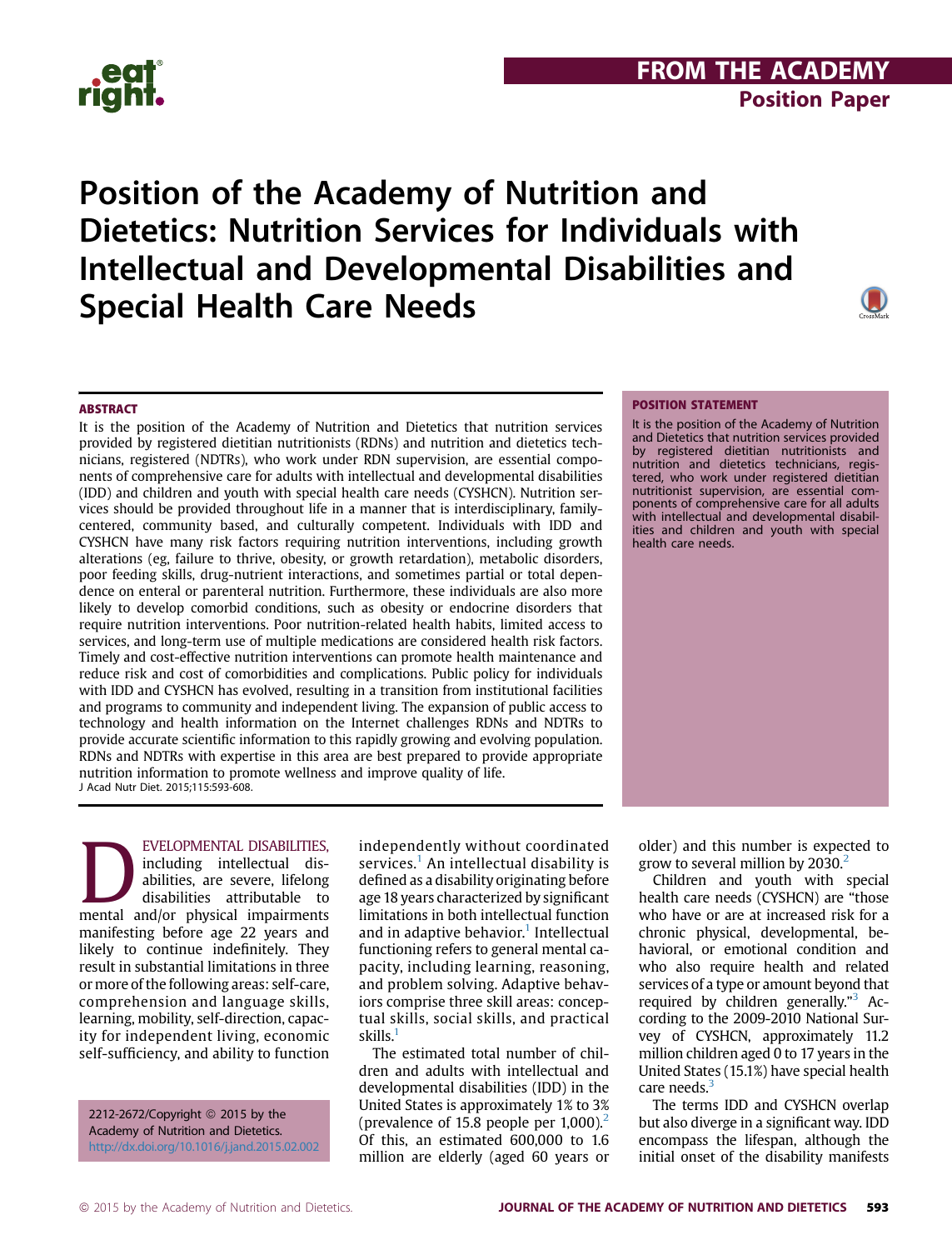

# **FROM THE ACADEMY**<br>Position Paper Position Paper

# Position of the Academy of Nutrition and Dietetics: Nutrition Services for Individuals with Intellectual and Developmental Disabilities and Special Health Care Needs



### ABSTRACT

It is the position of the Academy of Nutrition and Dietetics that nutrition services provided by registered dietitian nutritionists (RDNs) and nutrition and dietetics technicians, registered (NDTRs), who work under RDN supervision, are essential components of comprehensive care for adults with intellectual and developmental disabilities (IDD) and children and youth with special health care needs (CYSHCN). Nutrition services should be provided throughout life in a manner that is interdisciplinary, familycentered, community based, and culturally competent. Individuals with IDD and CYSHCN have many risk factors requiring nutrition interventions, including growth alterations (eg, failure to thrive, obesity, or growth retardation), metabolic disorders, poor feeding skills, drug-nutrient interactions, and sometimes partial or total dependence on enteral or parenteral nutrition. Furthermore, these individuals are also more likely to develop comorbid conditions, such as obesity or endocrine disorders that require nutrition interventions. Poor nutrition-related health habits, limited access to services, and long-term use of multiple medications are considered health risk factors. Timely and cost-effective nutrition interventions can promote health maintenance and reduce risk and cost of comorbidities and complications. Public policy for individuals with IDD and CYSHCN has evolved, resulting in a transition from institutional facilities and programs to community and independent living. The expansion of public access to technology and health information on the Internet challenges RDNs and NDTRs to provide accurate scientific information to this rapidly growing and evolving population. RDNs and NDTRs with expertise in this area are best prepared to provide appropriate nutrition information to promote wellness and improve quality of life. J Acad Nutr Diet. 2015;115:593-608.

#### POSITION STATEMENT

It is the position of the Academy of Nutrition and Dietetics that nutrition services provided by registered dietitian nutritionists and nutrition and dietetics technicians, registered, who work under registered dietitian nutritionist supervision, are essential components of comprehensive care for all adults with intellectual and developmental disabilities and children and youth with special health care needs.

EVELOPMENTAL DISABILITIES,<br>
including intellectual dis-<br>
abilities, are severe, lifelong<br>
disabilities attributable to<br>
mental and/or physical impairments including intellectual disabilities, are severe, lifelong disabilities attributable to manifesting before age 22 years and likely to continue indefinitely. They result in substantial limitations in three or more of the following areas: self-care, comprehension and language skills, learning, mobility, self-direction, capacity for independent living, economic self-sufficiency, and ability to function

2212-2672/Copyright © 2015 by the Academy of Nutrition and Dietetics. <http://dx.doi.org/10.1016/j.jand.2015.02.002> independently without coordinated services. $<sup>1</sup>$  $<sup>1</sup>$  $<sup>1</sup>$  An intellectual disability is</sup> defined as a disability originating before age 18 years characterized by significant limitations in both intellectual function and in adaptive behavior.<sup>[1](#page-13-0)</sup> Intellectual functioning refers to general mental capacity, including learning, reasoning, and problem solving. Adaptive behaviors comprise three skill areas: conceptual skills, social skills, and practical skills.<sup>[1](#page-13-0)</sup>

The estimated total number of children and adults with intellectual and developmental disabilities (IDD) in the United States is approximately 1% to 3% (prevalence of 15.8 people per  $1,000$ ).<sup>[2](#page-13-0)</sup> Of this, an estimated 600,000 to 1.6 million are elderly (aged 60 years or older) and this number is expected to grow to several million by  $2030<sup>2</sup>$  $2030<sup>2</sup>$ 

Children and youth with special health care needs (CYSHCN) are "those who have or are at increased risk for a chronic physical, developmental, behavioral, or emotional condition and who also require health and related services of a type or amount beyond that required by children generally."<sup>[3](#page-14-0)</sup> According to the 2009-2010 National Survey of CYSHCN, approximately 11.2 million children aged 0 to 17 years in the United States (15.1%) have special health care needs.<sup>[3](#page-14-0)</sup>

The terms IDD and CYSHCN overlap but also diverge in a significant way. IDD encompass the lifespan, although the initial onset of the disability manifests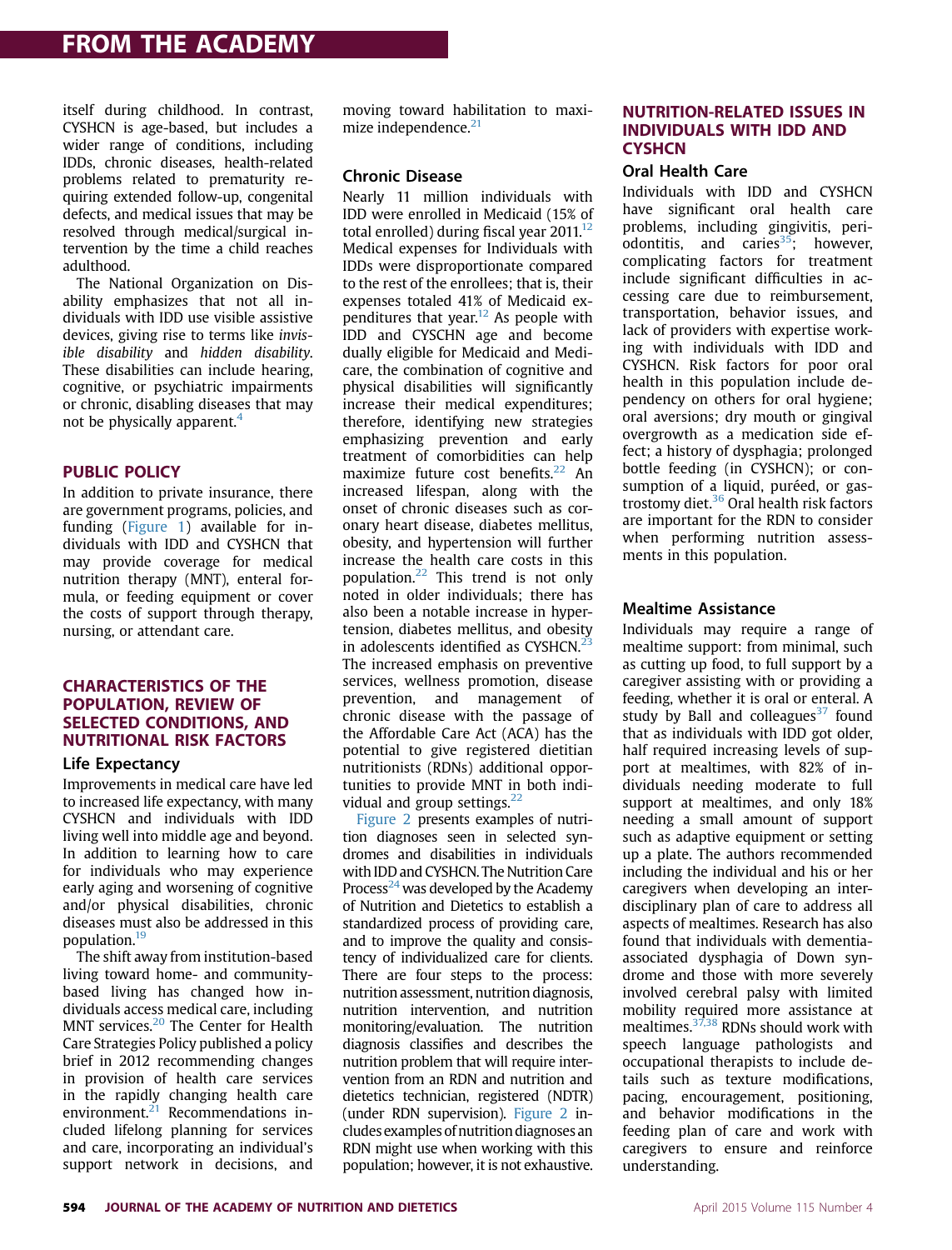itself during childhood. In contrast, CYSHCN is age-based, but includes a wider range of conditions, including IDDs, chronic diseases, health-related problems related to prematurity requiring extended follow-up, congenital defects, and medical issues that may be resolved through medical/surgical intervention by the time a child reaches adulthood.

The National Organization on Disability emphasizes that not all individuals with IDD use visible assistive devices, giving rise to terms like invisible disability and hidden disability. These disabilities can include hearing, cognitive, or psychiatric impairments or chronic, disabling diseases that may not be physically apparent. $4$ 

### **PUBLIC POLICY**

In addition to private insurance, there are government programs, policies, and funding (Figure 1) available for individuals with IDD and CYSHCN that may provide coverage for medical nutrition therapy (MNT), enteral formula, or feeding equipment or cover the costs of support through therapy, nursing, or attendant care.

### **CHARACTERISTICS OF THE** POPULATION, REVIEW OF **SELECTED CONDITIONS, AND NUTRITIONAL RISK FACTORS**

# Life Expectancy

Improvements in medical care have led to increased life expectancy, with many CYSHCN and individuals with IDD living well into middle age and beyond. In addition to learning how to care for individuals who may experience early aging and worsening of cognitive and/or physical disabilities, chronic diseases must also be addressed in this population[.19](#page-14-0)

The shift away from institution-based living toward home- and communitybased living has changed how individuals access medical care, including MNT services.<sup>[20](#page-14-0)</sup> The Center for Health Care Strategies Policy published a policy brief in 2012 recommending changes in provision of health care services in the rapidly changing health care environment.<sup>21</sup> Recommendations included lifelong planning for services and care, incorporating an individual's support network in decisions, and moving toward habilitation to maximize independence. $21$ 

## Chronic Disease

Nearly 11 million individuals with IDD were enrolled in Medicaid (15% of total enrolled) during fiscal year  $2011$ <sup>12</sup> Medical expenses for Individuals with IDDs were disproportionate compared to the rest of the enrollees; that is, their expenses totaled 41% of Medicaid expenditures that year.<sup>12</sup> As people with IDD and CYSCHN age and become dually eligible for Medicaid and Medicare, the combination of cognitive and physical disabilities will significantly increase their medical expenditures; therefore, identifying new strategies emphasizing prevention and early treatment of comorbidities can help maximize future cost benefits.<sup>[22](#page-14-0)</sup> An increased lifespan, along with the onset of chronic diseases such as coronary heart disease, diabetes mellitus, obesity, and hypertension will further increase the health care costs in this population.[22](#page-14-0) This trend is not only noted in older individuals; there has also been a notable increase in hypertension, diabetes mellitus, and obesity in adolescents identified as CYSHCN. $^{23}$  $^{23}$  $^{23}$ The increased emphasis on preventive services, wellness promotion, disease prevention, and management of chronic disease with the passage of the Affordable Care Act (ACA) has the potential to give registered dietitian nutritionists (RDNs) additional opportunities to provide MNT in both individual and group settings. $22$ 

Figure 2 presents examples of nutrition diagnoses seen in selected syndromes and disabilities in individuals with IDD and CYSHCN. The Nutrition Care Process<sup>24</sup> was developed by the Academy of Nutrition and Dietetics to establish a standardized process of providing care, and to improve the quality and consistency of individualized care for clients. There are four steps to the process: nutrition assessment, nutrition diagnosis, nutrition intervention, and nutrition monitoring/evaluation. The nutrition diagnosis classifies and describes the nutrition problem that will require intervention from an RDN and nutrition and dietetics technician, registered (NDTR) (under RDN supervision). Figure 2 includes examples of nutrition diagnoses an RDN might use when working with this population; however, it is not exhaustive.

### **NUTRITION-RELATED ISSUES IN INDIVIDUALS WITH IDD AND CYSHCN**

# **Oral Health Care**

Individuals with IDD and CYSHCN have significant oral health care problems, including gingivitis, periodontitis, and caries $35$ ; however, complicating factors for treatment include significant difficulties in accessing care due to reimbursement, transportation, behavior issues, and lack of providers with expertise working with individuals with IDD and CYSHCN. Risk factors for poor oral health in this population include dependency on others for oral hygiene; oral aversions; dry mouth or gingival overgrowth as a medication side effect; a history of dysphagia; prolonged bottle feeding (in CYSHCN); or consumption of a liquid, puréed, or gas-trostomy diet.<sup>[36](#page-14-0)</sup> Oral health risk factors are important for the RDN to consider when performing nutrition assessments in this population.

### Mealtime Assistance

Individuals may require a range of mealtime support: from minimal, such as cutting up food, to full support by a caregiver assisting with or providing a feeding, whether it is oral or enteral. A study by Ball and colleagues $37$  found that as individuals with IDD got older, half required increasing levels of support at mealtimes, with 82% of individuals needing moderate to full support at mealtimes, and only 18% needing a small amount of support such as adaptive equipment or setting up a plate. The authors recommended including the individual and his or her caregivers when developing an interdisciplinary plan of care to address all aspects of mealtimes. Research has also found that individuals with dementiaassociated dysphagia of Down syndrome and those with more severely involved cerebral palsy with limited mobility required more assistance at mealtimes.<sup>[37,38](#page-14-0)</sup> RDNs should work with speech language pathologists and occupational therapists to include details such as texture modifications, pacing, encouragement, positioning, and behavior modifications in the feeding plan of care and work with caregivers to ensure and reinforce understanding.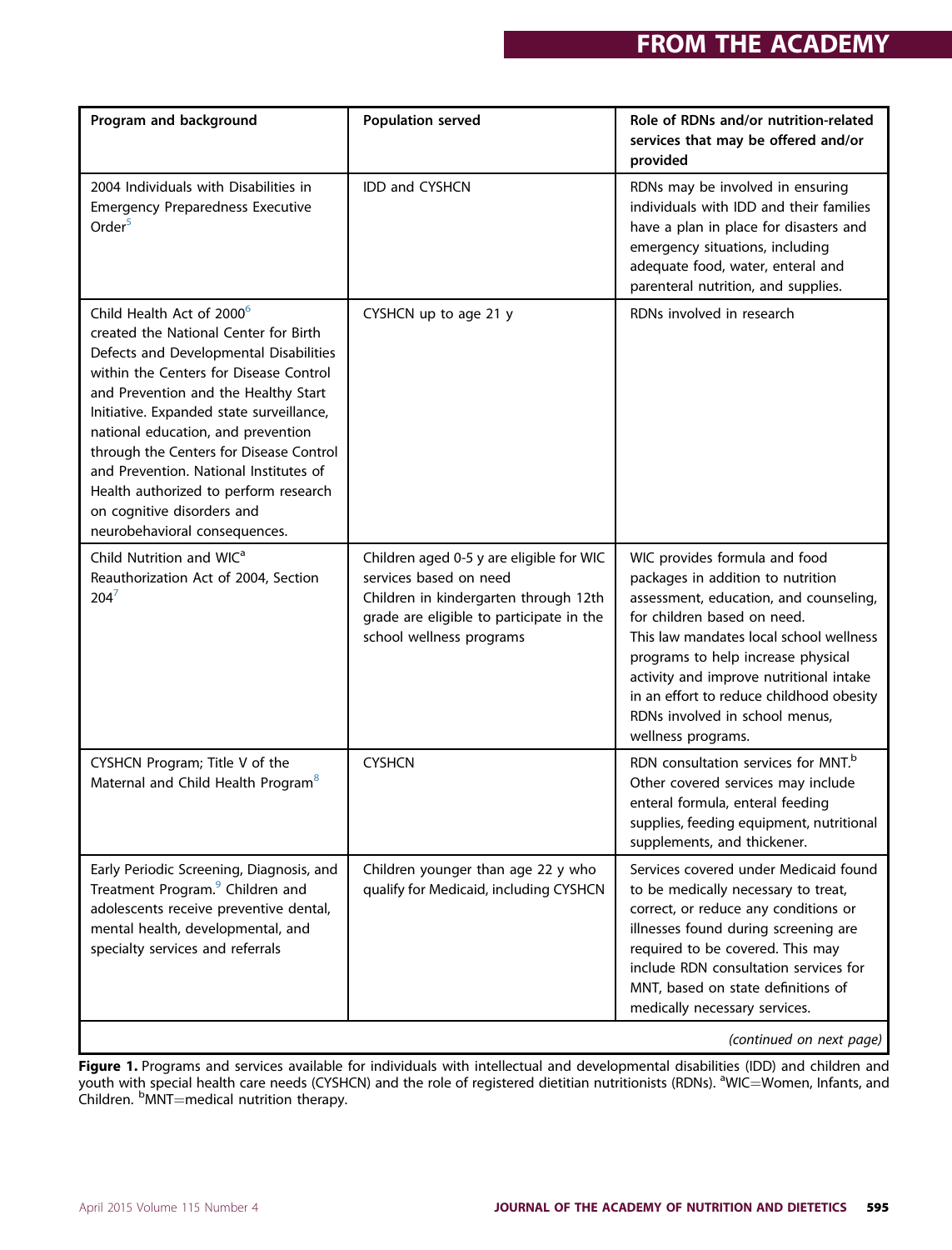| Program and background                                                                                                                                                                                                                                                                                                                                                                                                                                                                    | <b>Population served</b>                                                                                                                                                            | Role of RDNs and/or nutrition-related<br>services that may be offered and/or<br>provided                                                                                                                                                                                                                                                                                    |
|-------------------------------------------------------------------------------------------------------------------------------------------------------------------------------------------------------------------------------------------------------------------------------------------------------------------------------------------------------------------------------------------------------------------------------------------------------------------------------------------|-------------------------------------------------------------------------------------------------------------------------------------------------------------------------------------|-----------------------------------------------------------------------------------------------------------------------------------------------------------------------------------------------------------------------------------------------------------------------------------------------------------------------------------------------------------------------------|
| 2004 Individuals with Disabilities in<br><b>Emergency Preparedness Executive</b><br>Order <sup>5</sup>                                                                                                                                                                                                                                                                                                                                                                                    | <b>IDD and CYSHCN</b>                                                                                                                                                               | RDNs may be involved in ensuring<br>individuals with IDD and their families<br>have a plan in place for disasters and<br>emergency situations, including<br>adequate food, water, enteral and<br>parenteral nutrition, and supplies.                                                                                                                                        |
| Child Health Act of 2000 <sup>6</sup><br>created the National Center for Birth<br>Defects and Developmental Disabilities<br>within the Centers for Disease Control<br>and Prevention and the Healthy Start<br>Initiative. Expanded state surveillance,<br>national education, and prevention<br>through the Centers for Disease Control<br>and Prevention. National Institutes of<br>Health authorized to perform research<br>on cognitive disorders and<br>neurobehavioral consequences. | CYSHCN up to age 21 y                                                                                                                                                               | RDNs involved in research                                                                                                                                                                                                                                                                                                                                                   |
| Child Nutrition and WIC <sup>a</sup><br>Reauthorization Act of 2004, Section<br>$204^7$                                                                                                                                                                                                                                                                                                                                                                                                   | Children aged 0-5 y are eligible for WIC<br>services based on need<br>Children in kindergarten through 12th<br>grade are eligible to participate in the<br>school wellness programs | WIC provides formula and food<br>packages in addition to nutrition<br>assessment, education, and counseling,<br>for children based on need.<br>This law mandates local school wellness<br>programs to help increase physical<br>activity and improve nutritional intake<br>in an effort to reduce childhood obesity<br>RDNs involved in school menus,<br>wellness programs. |
| CYSHCN Program; Title V of the<br>Maternal and Child Health Program <sup>8</sup>                                                                                                                                                                                                                                                                                                                                                                                                          | <b>CYSHCN</b>                                                                                                                                                                       | RDN consultation services for MNT. <sup>b</sup><br>Other covered services may include<br>enteral formula, enteral feeding<br>supplies, feeding equipment, nutritional<br>supplements, and thickener.                                                                                                                                                                        |
| Early Periodic Screening, Diagnosis, and<br>Treatment Program. <sup>9</sup> Children and<br>adolescents receive preventive dental,<br>mental health, developmental, and<br>specialty services and referrals                                                                                                                                                                                                                                                                               | Children younger than age 22 y who<br>qualify for Medicaid, including CYSHCN                                                                                                        | Services covered under Medicaid found<br>to be medically necessary to treat,<br>correct, or reduce any conditions or<br>illnesses found during screening are<br>required to be covered. This may<br>include RDN consultation services for<br>MNT, based on state definitions of<br>medically necessary services.                                                            |

(continued on next page)

Figure 1. Programs and services available for individuals with intellectual and developmental disabilities (IDD) and children and youth with special health care needs (CYSHCN) and the role of registered dietitian nutritionists (RDNs). <sup>a</sup>WIC=Women, Infants, and Children. <sup>b</sup>MNT=medical nutrition therapy.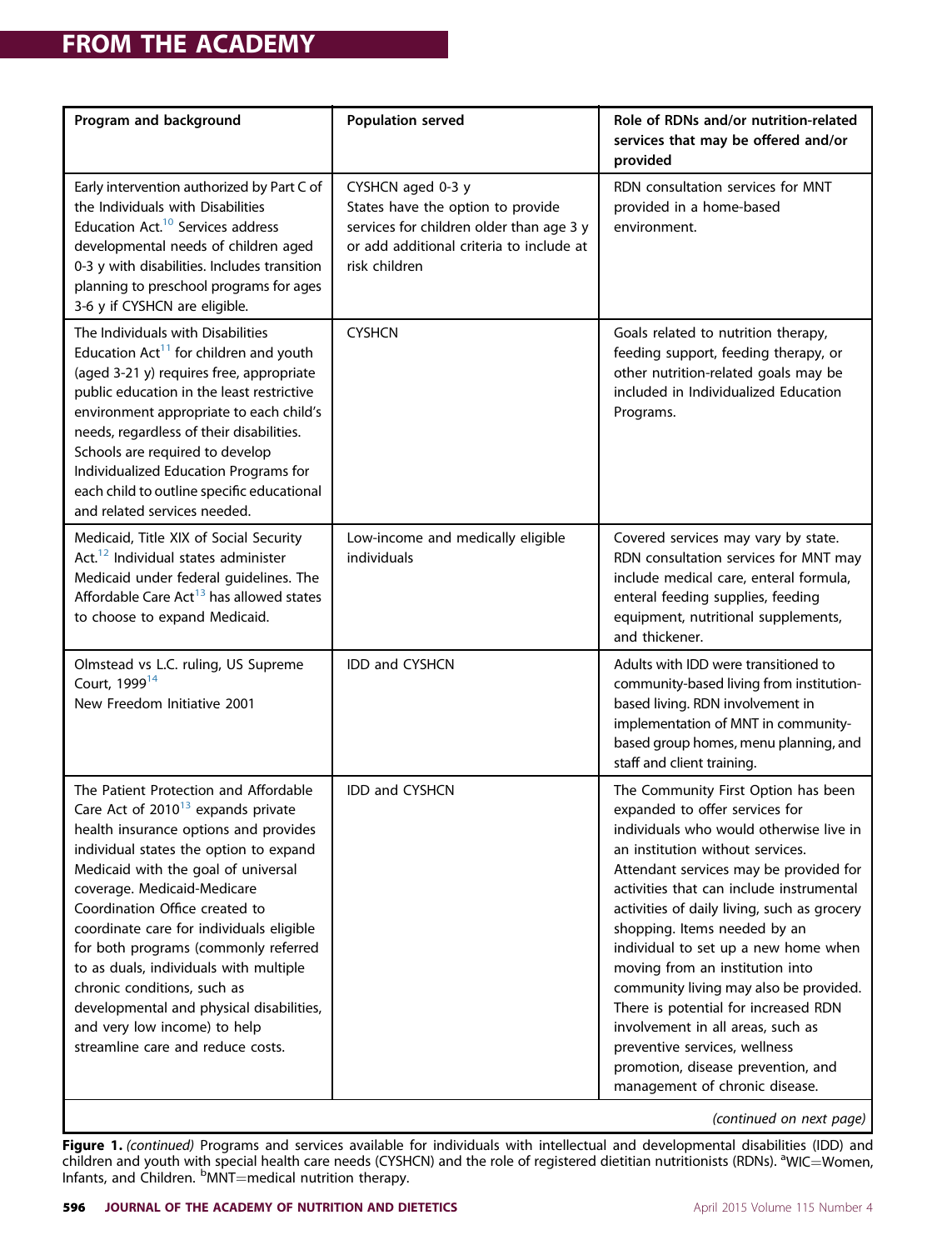| Program and background                                                                                                                                                                                                                                                                                                                                                                                                                                                                                                                                           | <b>Population served</b>                                                                                                                                        | Role of RDNs and/or nutrition-related<br>services that may be offered and/or<br>provided                                                                                                                                                                                                                                                                                                                                                                                                                                                                                                                                             |
|------------------------------------------------------------------------------------------------------------------------------------------------------------------------------------------------------------------------------------------------------------------------------------------------------------------------------------------------------------------------------------------------------------------------------------------------------------------------------------------------------------------------------------------------------------------|-----------------------------------------------------------------------------------------------------------------------------------------------------------------|--------------------------------------------------------------------------------------------------------------------------------------------------------------------------------------------------------------------------------------------------------------------------------------------------------------------------------------------------------------------------------------------------------------------------------------------------------------------------------------------------------------------------------------------------------------------------------------------------------------------------------------|
| Early intervention authorized by Part C of<br>the Individuals with Disabilities<br>Education Act. <sup>10</sup> Services address<br>developmental needs of children aged<br>0-3 y with disabilities. Includes transition<br>planning to preschool programs for ages<br>3-6 y if CYSHCN are eligible.                                                                                                                                                                                                                                                             | CYSHCN aged 0-3 y<br>States have the option to provide<br>services for children older than age 3 y<br>or add additional criteria to include at<br>risk children | RDN consultation services for MNT<br>provided in a home-based<br>environment.                                                                                                                                                                                                                                                                                                                                                                                                                                                                                                                                                        |
| The Individuals with Disabilities<br>Education $Act^{11}$ for children and youth<br>(aged 3-21 y) requires free, appropriate<br>public education in the least restrictive<br>environment appropriate to each child's<br>needs, regardless of their disabilities.<br>Schools are required to develop<br>Individualized Education Programs for<br>each child to outline specific educational<br>and related services needed.                                                                                                                                       | <b>CYSHCN</b>                                                                                                                                                   | Goals related to nutrition therapy,<br>feeding support, feeding therapy, or<br>other nutrition-related goals may be<br>included in Individualized Education<br>Programs.                                                                                                                                                                                                                                                                                                                                                                                                                                                             |
| Medicaid, Title XIX of Social Security<br>Act. <sup>12</sup> Individual states administer<br>Medicaid under federal guidelines. The<br>Affordable Care Act <sup>13</sup> has allowed states<br>to choose to expand Medicaid.                                                                                                                                                                                                                                                                                                                                     | Low-income and medically eligible<br>individuals                                                                                                                | Covered services may vary by state.<br>RDN consultation services for MNT may<br>include medical care, enteral formula,<br>enteral feeding supplies, feeding<br>equipment, nutritional supplements,<br>and thickener.                                                                                                                                                                                                                                                                                                                                                                                                                 |
| Olmstead vs L.C. ruling, US Supreme<br>Court, 1999 <sup>14</sup><br>New Freedom Initiative 2001                                                                                                                                                                                                                                                                                                                                                                                                                                                                  | IDD and CYSHCN                                                                                                                                                  | Adults with IDD were transitioned to<br>community-based living from institution-<br>based living. RDN involvement in<br>implementation of MNT in community-<br>based group homes, menu planning, and<br>staff and client training.                                                                                                                                                                                                                                                                                                                                                                                                   |
| The Patient Protection and Affordable<br>Care Act of 2010 <sup>13</sup> expands private<br>health insurance options and provides<br>individual states the option to expand<br>Medicaid with the goal of universal<br>coverage. Medicaid-Medicare<br>Coordination Office created to<br>coordinate care for individuals eligible<br>for both programs (commonly referred<br>to as duals, individuals with multiple<br>chronic conditions, such as<br>developmental and physical disabilities,<br>and very low income) to help<br>streamline care and reduce costs. | IDD and CYSHCN                                                                                                                                                  | The Community First Option has been<br>expanded to offer services for<br>individuals who would otherwise live in<br>an institution without services.<br>Attendant services may be provided for<br>activities that can include instrumental<br>activities of daily living, such as grocery<br>shopping. Items needed by an<br>individual to set up a new home when<br>moving from an institution into<br>community living may also be provided.<br>There is potential for increased RDN<br>involvement in all areas, such as<br>preventive services, wellness<br>promotion, disease prevention, and<br>management of chronic disease. |

(continued on next page)

Figure 1. (continued) Programs and services available for individuals with intellectual and developmental disabilities (IDD) and children and youth with special health care needs (CYSHCN) and the role of registered dietitian nutritionists (RDNs). <sup>a</sup>WIC=Women, Infants, and  $\acute{\text{Children.}}$   $^{\text{b}}$ MNT $=$ medical nutrition therapy.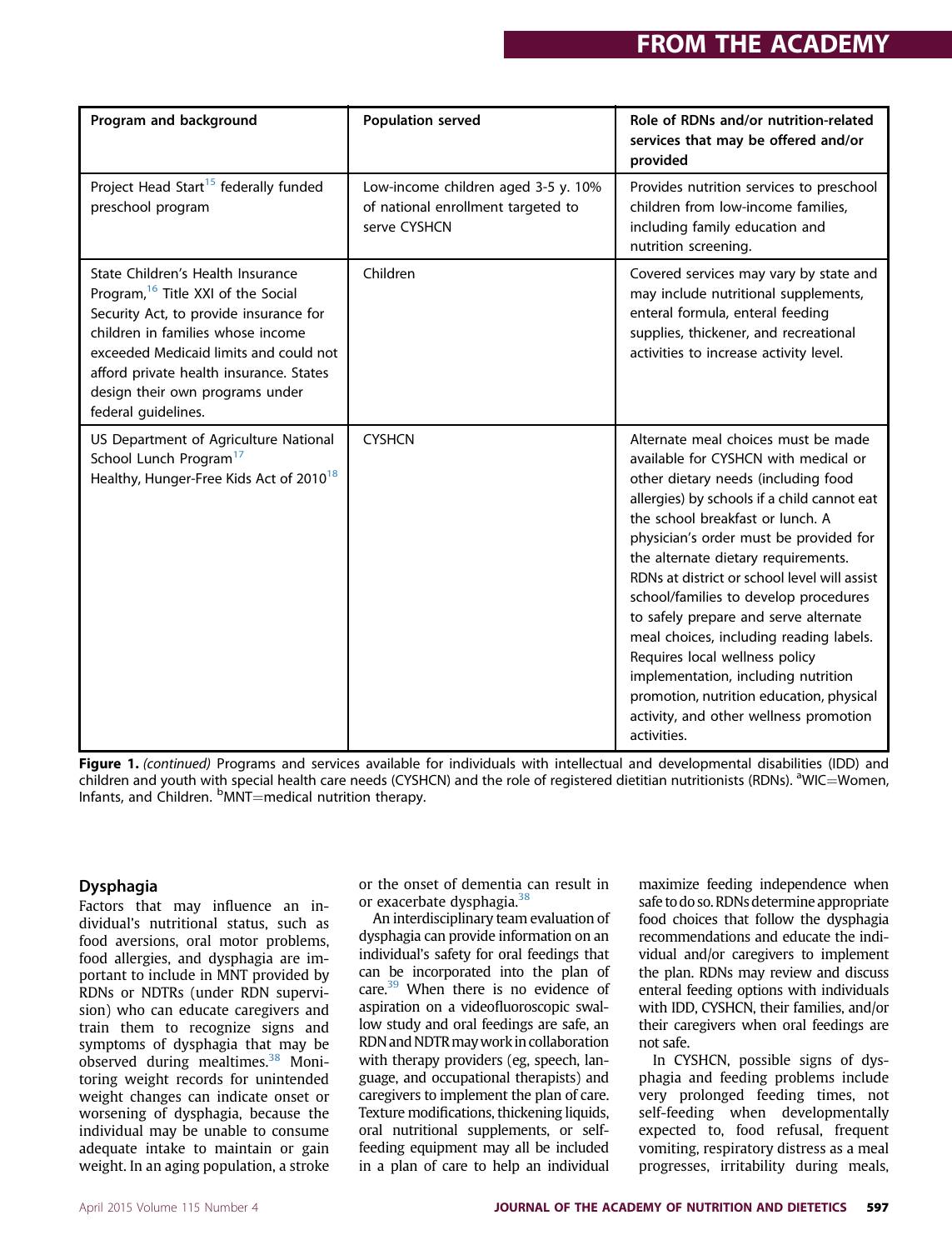| Program and background                                                                                                                                                                                                                                                                                            | <b>Population served</b>                                                                  | Role of RDNs and/or nutrition-related<br>services that may be offered and/or<br>provided                                                                                                                                                                                                                                                                                                                                                                                                                                                                                                                                                          |
|-------------------------------------------------------------------------------------------------------------------------------------------------------------------------------------------------------------------------------------------------------------------------------------------------------------------|-------------------------------------------------------------------------------------------|---------------------------------------------------------------------------------------------------------------------------------------------------------------------------------------------------------------------------------------------------------------------------------------------------------------------------------------------------------------------------------------------------------------------------------------------------------------------------------------------------------------------------------------------------------------------------------------------------------------------------------------------------|
| Project Head Start <sup>15</sup> federally funded<br>preschool program                                                                                                                                                                                                                                            | Low-income children aged 3-5 y. 10%<br>of national enrollment targeted to<br>serve CYSHCN | Provides nutrition services to preschool<br>children from low-income families.<br>including family education and<br>nutrition screening.                                                                                                                                                                                                                                                                                                                                                                                                                                                                                                          |
| State Children's Health Insurance<br>Program, <sup>16</sup> Title XXI of the Social<br>Security Act, to provide insurance for<br>children in families whose income<br>exceeded Medicaid limits and could not<br>afford private health insurance. States<br>design their own programs under<br>federal guidelines. | Children                                                                                  | Covered services may vary by state and<br>may include nutritional supplements,<br>enteral formula, enteral feeding<br>supplies, thickener, and recreational<br>activities to increase activity level.                                                                                                                                                                                                                                                                                                                                                                                                                                             |
| US Department of Agriculture National<br>School Lunch Program <sup>17</sup><br>Healthy, Hunger-Free Kids Act of 2010 <sup>18</sup>                                                                                                                                                                                | <b>CYSHCN</b>                                                                             | Alternate meal choices must be made<br>available for CYSHCN with medical or<br>other dietary needs (including food<br>allergies) by schools if a child cannot eat<br>the school breakfast or lunch. A<br>physician's order must be provided for<br>the alternate dietary requirements.<br>RDNs at district or school level will assist<br>school/families to develop procedures<br>to safely prepare and serve alternate<br>meal choices, including reading labels.<br>Requires local wellness policy<br>implementation, including nutrition<br>promotion, nutrition education, physical<br>activity, and other wellness promotion<br>activities. |

Figure 1. (continued) Programs and services available for individuals with intellectual and developmental disabilities (IDD) and children and youth with special health care needs (CYSHCN) and the role of registered dietitian nutritionists (RDNs). <sup>a</sup>WIC=Women, Infants, and  $\acute{\text{Children.}}$   $^{\text{b}}$ MNT $=$ medical nutrition therapy.

# Dysphagia

Factors that may influence an individual's nutritional status, such as food aversions, oral motor problems, food allergies, and dysphagia are important to include in MNT provided by RDNs or NDTRs (under RDN supervision) who can educate caregivers and train them to recognize signs and symptoms of dysphagia that may be observed during mealtimes.<sup>[38](#page-14-0)</sup> Monitoring weight records for unintended weight changes can indicate onset or worsening of dysphagia, because the individual may be unable to consume adequate intake to maintain or gain weight. In an aging population, a stroke

or the onset of dementia can result in or exacerbate dysphagia.<sup>[38](#page-14-0)</sup>

An interdisciplinary team evaluation of dysphagia can provide information on an individual's safety for oral feedings that can be incorporated into the plan of care.<sup>39</sup> When there is no evidence of aspiration on a videofluoroscopic swallow study and oral feedings are safe, an RDN and NDTR may work in collaboration with therapy providers (eg, speech, language, and occupational therapists) and caregivers to implement the plan of care. Texture modifications, thickening liquids, oral nutritional supplements, or selffeeding equipment may all be included in a plan of care to help an individual

maximize feeding independence when safe to do so. RDNs determine appropriate food choices that follow the dysphagia recommendations and educate the individual and/or caregivers to implement the plan. RDNs may review and discuss enteral feeding options with individuals with IDD, CYSHCN, their families, and/or their caregivers when oral feedings are not safe.

In CYSHCN, possible signs of dysphagia and feeding problems include very prolonged feeding times, not self-feeding when developmentally expected to, food refusal, frequent vomiting, respiratory distress as a meal progresses, irritability during meals,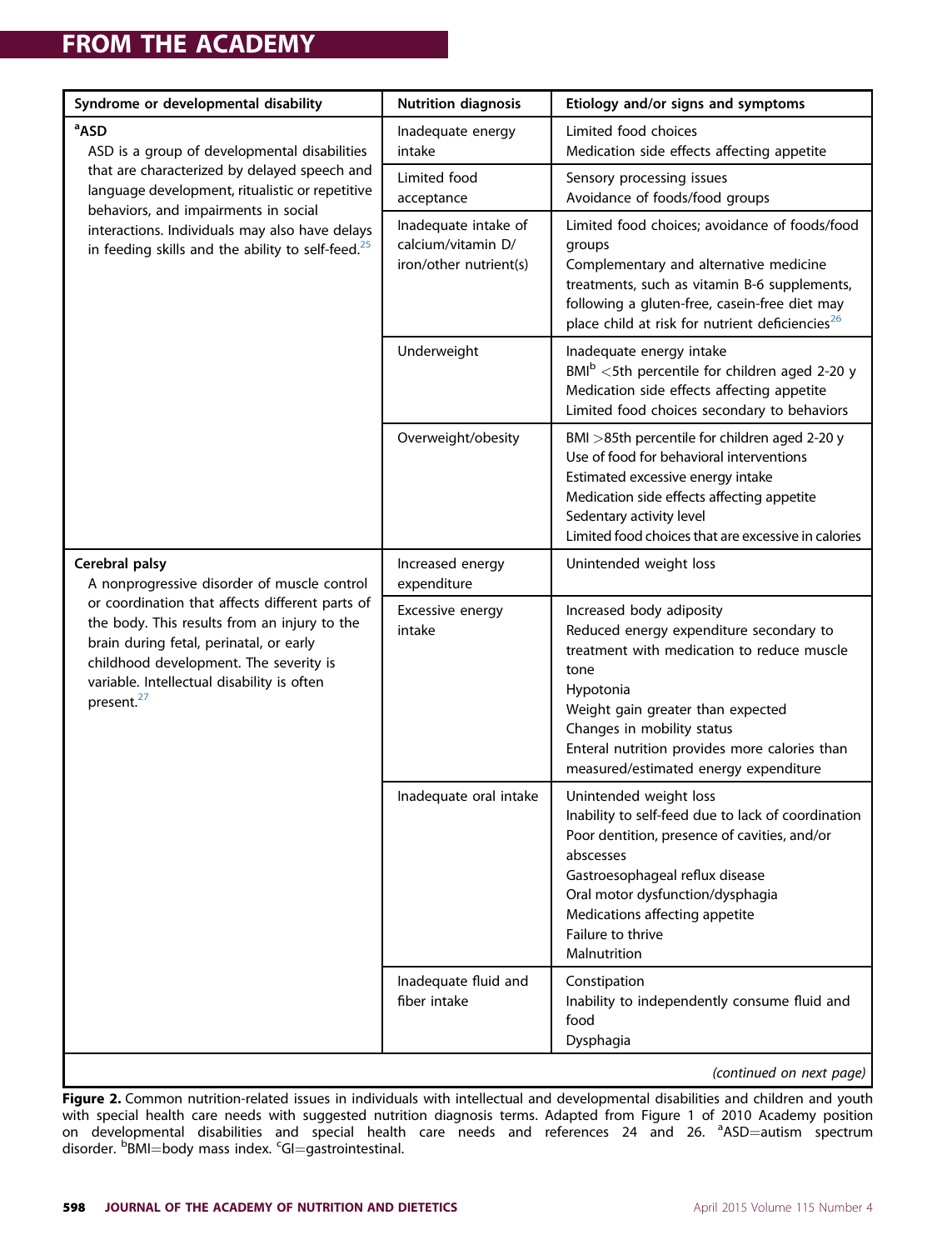| <sup>a</sup> ASD<br>ASD is a group of developmental disabilities<br>that are characterized by delayed speech and<br>language development, ritualistic or repetitive<br>behaviors, and impairments in social                                                                                                                   | Inadequate energy<br>intake<br>Limited food<br>acceptance<br>Inadequate intake of<br>calcium/vitamin D/ | Limited food choices<br>Medication side effects affecting appetite<br>Sensory processing issues<br>Avoidance of foods/food groups                                                                                                                                                                   |
|-------------------------------------------------------------------------------------------------------------------------------------------------------------------------------------------------------------------------------------------------------------------------------------------------------------------------------|---------------------------------------------------------------------------------------------------------|-----------------------------------------------------------------------------------------------------------------------------------------------------------------------------------------------------------------------------------------------------------------------------------------------------|
|                                                                                                                                                                                                                                                                                                                               |                                                                                                         |                                                                                                                                                                                                                                                                                                     |
|                                                                                                                                                                                                                                                                                                                               |                                                                                                         |                                                                                                                                                                                                                                                                                                     |
| interactions. Individuals may also have delays<br>in feeding skills and the ability to self-feed. $25$                                                                                                                                                                                                                        | iron/other nutrient(s)                                                                                  | Limited food choices; avoidance of foods/food<br>groups<br>Complementary and alternative medicine<br>treatments, such as vitamin B-6 supplements,<br>following a gluten-free, casein-free diet may<br>place child at risk for nutrient deficiencies <sup>26</sup>                                   |
|                                                                                                                                                                                                                                                                                                                               | Underweight                                                                                             | Inadequate energy intake<br>BMI <sup>b</sup> <5th percentile for children aged 2-20 y<br>Medication side effects affecting appetite<br>Limited food choices secondary to behaviors                                                                                                                  |
|                                                                                                                                                                                                                                                                                                                               | Overweight/obesity                                                                                      | BMI >85th percentile for children aged 2-20 y<br>Use of food for behavioral interventions<br>Estimated excessive energy intake<br>Medication side effects affecting appetite<br>Sedentary activity level<br>Limited food choices that are excessive in calories                                     |
| Cerebral palsy<br>A nonprogressive disorder of muscle control<br>or coordination that affects different parts of<br>the body. This results from an injury to the<br>brain during fetal, perinatal, or early<br>childhood development. The severity is<br>variable. Intellectual disability is often<br>present. <sup>27</sup> | Increased energy<br>expenditure                                                                         | Unintended weight loss                                                                                                                                                                                                                                                                              |
|                                                                                                                                                                                                                                                                                                                               | Excessive energy<br>intake                                                                              | Increased body adiposity<br>Reduced energy expenditure secondary to<br>treatment with medication to reduce muscle<br>tone<br>Hypotonia<br>Weight gain greater than expected<br>Changes in mobility status<br>Enteral nutrition provides more calories than<br>measured/estimated energy expenditure |
|                                                                                                                                                                                                                                                                                                                               | Inadequate oral intake                                                                                  | Unintended weight loss<br>Inability to self-feed due to lack of coordination<br>Poor dentition, presence of cavities, and/or<br>abscesses<br>Gastroesophageal reflux disease<br>Oral motor dysfunction/dysphagia<br>Medications affecting appetite<br>Failure to thrive<br>Malnutrition             |
|                                                                                                                                                                                                                                                                                                                               | Inadequate fluid and<br>fiber intake                                                                    | Constipation<br>Inability to independently consume fluid and<br>food<br>Dysphagia<br>(continued on next page)                                                                                                                                                                                       |

**Figure 2.** Common nutrition-related issues in individuals with intellectual and developmental disabilities and children and youth with special health care needs with suggested nutrition diagnosis terms. Adapted from Figur disorder. <sup>b</sup>BMI=body mass index. <sup>c</sup>GI=gastrointestinal.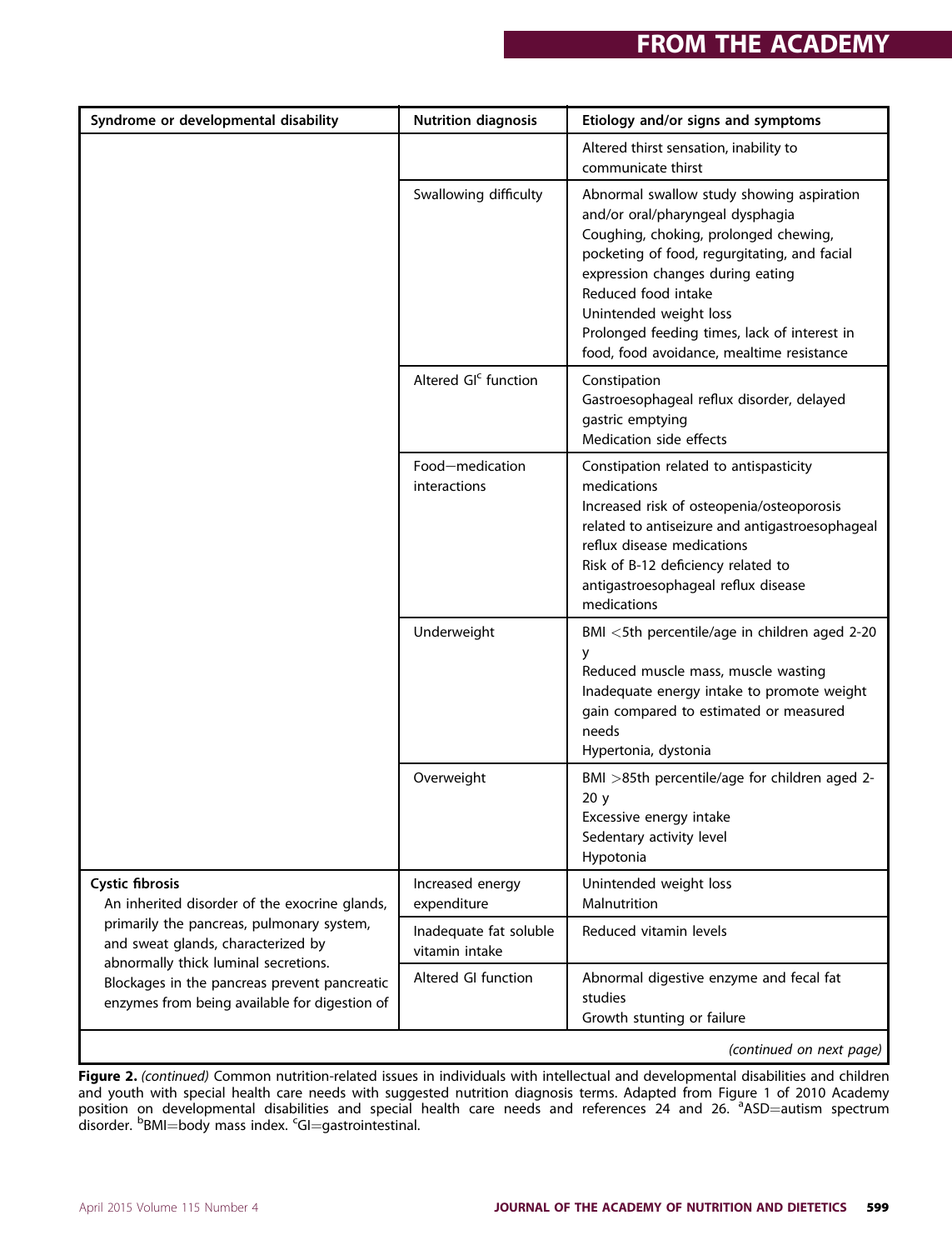# **FROM THE ACADEMY** FROM THE ACADEMY

| Syndrome or developmental disability                                                                                                                                                               | <b>Nutrition diagnosis</b>               | Etiology and/or signs and symptoms                                                                                                                                                                                                                                                                                                                       |
|----------------------------------------------------------------------------------------------------------------------------------------------------------------------------------------------------|------------------------------------------|----------------------------------------------------------------------------------------------------------------------------------------------------------------------------------------------------------------------------------------------------------------------------------------------------------------------------------------------------------|
|                                                                                                                                                                                                    |                                          | Altered thirst sensation, inability to<br>communicate thirst                                                                                                                                                                                                                                                                                             |
|                                                                                                                                                                                                    | Swallowing difficulty                    | Abnormal swallow study showing aspiration<br>and/or oral/pharyngeal dysphagia<br>Coughing, choking, prolonged chewing,<br>pocketing of food, regurgitating, and facial<br>expression changes during eating<br>Reduced food intake<br>Unintended weight loss<br>Prolonged feeding times, lack of interest in<br>food, food avoidance, mealtime resistance |
|                                                                                                                                                                                                    | Altered GI <sup>c</sup> function         | Constipation<br>Gastroesophageal reflux disorder, delayed<br>gastric emptying<br>Medication side effects                                                                                                                                                                                                                                                 |
|                                                                                                                                                                                                    | Food-medication<br>interactions          | Constipation related to antispasticity<br>medications<br>Increased risk of osteopenia/osteoporosis<br>related to antiseizure and antigastroesophageal<br>reflux disease medications<br>Risk of B-12 deficiency related to<br>antigastroesophageal reflux disease<br>medications                                                                          |
|                                                                                                                                                                                                    | Underweight                              | BMI <5th percentile/age in children aged 2-20<br>у<br>Reduced muscle mass, muscle wasting<br>Inadequate energy intake to promote weight<br>gain compared to estimated or measured<br>needs<br>Hypertonia, dystonia                                                                                                                                       |
|                                                                                                                                                                                                    | Overweight                               | BMI >85th percentile/age for children aged 2-<br>20 <sub>y</sub><br>Excessive energy intake<br>Sedentary activity level<br>Hypotonia                                                                                                                                                                                                                     |
| <b>Cystic fibrosis</b><br>An inherited disorder of the exocrine glands,<br>primarily the pancreas, pulmonary system,<br>and sweat glands, characterized by<br>abnormally thick luminal secretions. | Increased energy<br>expenditure          | Unintended weight loss<br>Malnutrition                                                                                                                                                                                                                                                                                                                   |
|                                                                                                                                                                                                    | Inadequate fat soluble<br>vitamin intake | Reduced vitamin levels                                                                                                                                                                                                                                                                                                                                   |
| Blockages in the pancreas prevent pancreatic<br>enzymes from being available for digestion of                                                                                                      | Altered GI function                      | Abnormal digestive enzyme and fecal fat<br>studies<br>Growth stunting or failure                                                                                                                                                                                                                                                                         |

(continued on next page)

**Figure 2.** *(continued)* Common nutrition-related issues in individuals with intellectual and developmental disabilities and children and youth with special health care needs with suggested nutrition diagnosis terms. Adap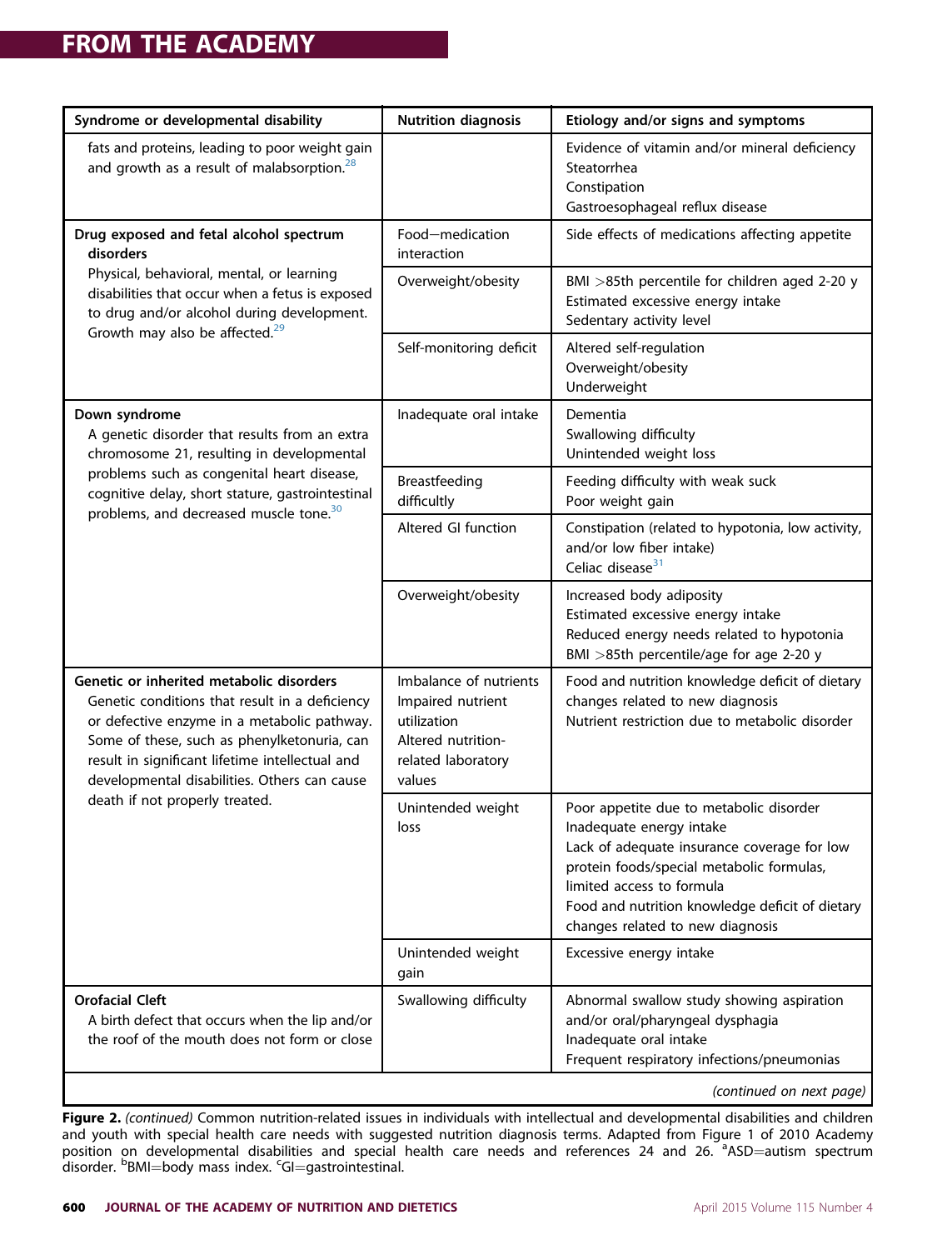| Syndrome or developmental disability                                                                                                                                                                                                                                                                                          | <b>Nutrition diagnosis</b>                                                                                       | Etiology and/or signs and symptoms                                                                                                                                                                                                                                                  |
|-------------------------------------------------------------------------------------------------------------------------------------------------------------------------------------------------------------------------------------------------------------------------------------------------------------------------------|------------------------------------------------------------------------------------------------------------------|-------------------------------------------------------------------------------------------------------------------------------------------------------------------------------------------------------------------------------------------------------------------------------------|
| fats and proteins, leading to poor weight gain<br>and growth as a result of malabsorption. <sup>28</sup>                                                                                                                                                                                                                      |                                                                                                                  | Evidence of vitamin and/or mineral deficiency<br>Steatorrhea<br>Constipation<br>Gastroesophageal reflux disease                                                                                                                                                                     |
| Drug exposed and fetal alcohol spectrum<br>disorders<br>Physical, behavioral, mental, or learning<br>disabilities that occur when a fetus is exposed<br>to drug and/or alcohol during development.<br>Growth may also be affected. <sup>29</sup>                                                                              | Food-medication<br>interaction                                                                                   | Side effects of medications affecting appetite                                                                                                                                                                                                                                      |
|                                                                                                                                                                                                                                                                                                                               | Overweight/obesity                                                                                               | BMI >85th percentile for children aged 2-20 y<br>Estimated excessive energy intake<br>Sedentary activity level                                                                                                                                                                      |
|                                                                                                                                                                                                                                                                                                                               | Self-monitoring deficit                                                                                          | Altered self-regulation<br>Overweight/obesity<br>Underweight                                                                                                                                                                                                                        |
| Down syndrome<br>A genetic disorder that results from an extra<br>chromosome 21, resulting in developmental<br>problems such as congenital heart disease,<br>cognitive delay, short stature, gastrointestinal<br>problems, and decreased muscle tone. <sup>30</sup>                                                           | Inadequate oral intake                                                                                           | Dementia<br>Swallowing difficulty<br>Unintended weight loss                                                                                                                                                                                                                         |
|                                                                                                                                                                                                                                                                                                                               | Breastfeeding<br>difficultly                                                                                     | Feeding difficulty with weak suck<br>Poor weight gain                                                                                                                                                                                                                               |
|                                                                                                                                                                                                                                                                                                                               | Altered GI function                                                                                              | Constipation (related to hypotonia, low activity,<br>and/or low fiber intake)<br>Celiac disease <sup>31</sup>                                                                                                                                                                       |
|                                                                                                                                                                                                                                                                                                                               | Overweight/obesity                                                                                               | Increased body adiposity<br>Estimated excessive energy intake<br>Reduced energy needs related to hypotonia<br>BMI >85th percentile/age for age 2-20 y                                                                                                                               |
| Genetic or inherited metabolic disorders<br>Genetic conditions that result in a deficiency<br>or defective enzyme in a metabolic pathway.<br>Some of these, such as phenylketonuria, can<br>result in significant lifetime intellectual and<br>developmental disabilities. Others can cause<br>death if not properly treated. | Imbalance of nutrients<br>Impaired nutrient<br>utilization<br>Altered nutrition-<br>related laboratory<br>values | Food and nutrition knowledge deficit of dietary<br>changes related to new diagnosis<br>Nutrient restriction due to metabolic disorder                                                                                                                                               |
|                                                                                                                                                                                                                                                                                                                               | Unintended weight<br>loss                                                                                        | Poor appetite due to metabolic disorder<br>Inadequate energy intake<br>Lack of adequate insurance coverage for low<br>protein foods/special metabolic formulas,<br>limited access to formula<br>Food and nutrition knowledge deficit of dietary<br>changes related to new diagnosis |
|                                                                                                                                                                                                                                                                                                                               | Unintended weight<br>gain                                                                                        | Excessive energy intake                                                                                                                                                                                                                                                             |
| <b>Orofacial Cleft</b><br>A birth defect that occurs when the lip and/or<br>the roof of the mouth does not form or close                                                                                                                                                                                                      | Swallowing difficulty                                                                                            | Abnormal swallow study showing aspiration<br>and/or oral/pharyngeal dysphagia<br>Inadequate oral intake<br>Frequent respiratory infections/pneumonias                                                                                                                               |

(continued on next page)

Figure 2. (continued) Common nutrition-related issues in individuals with intellectual and developmental disabilities and children and youth with special health care needs with suggested nutrition diagnosis terms. Adapted from Figure 1 of 2010 Academy position on developmental disabilities and special health care needs and references 24 and 26. <sup>a</sup>ASD—autism spectrum<br>disorder. <sup>b</sup>BMI—body mass index. <sup>c</sup>GI—gastrointestinal.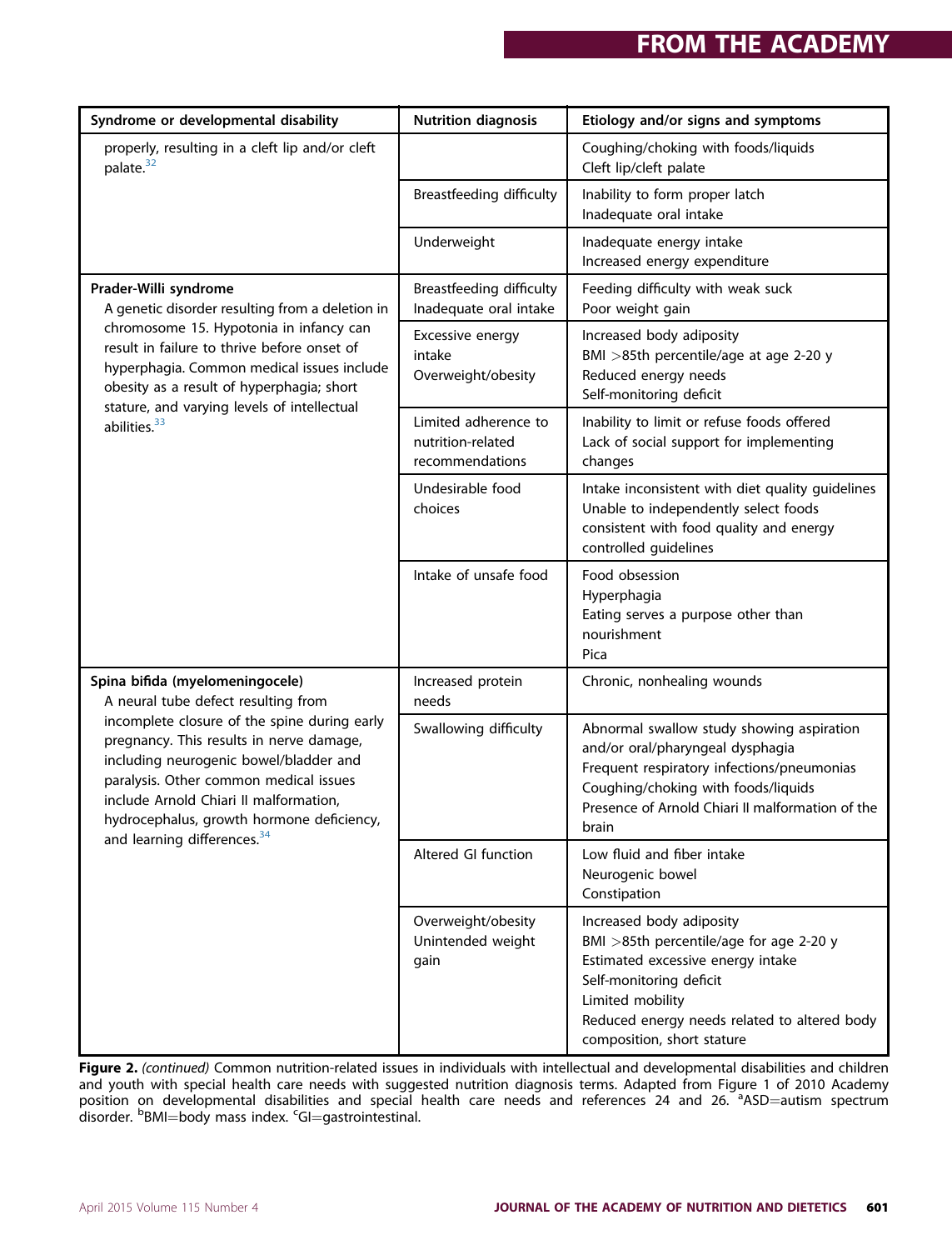| Syndrome or developmental disability                                                                                                                                                                                                                                                                                                     | <b>Nutrition diagnosis</b>                                   | Etiology and/or signs and symptoms                                                                                                                                                                                                    |
|------------------------------------------------------------------------------------------------------------------------------------------------------------------------------------------------------------------------------------------------------------------------------------------------------------------------------------------|--------------------------------------------------------------|---------------------------------------------------------------------------------------------------------------------------------------------------------------------------------------------------------------------------------------|
| properly, resulting in a cleft lip and/or cleft<br>palate. <sup>32</sup>                                                                                                                                                                                                                                                                 |                                                              | Coughing/choking with foods/liquids<br>Cleft lip/cleft palate                                                                                                                                                                         |
|                                                                                                                                                                                                                                                                                                                                          | Breastfeeding difficulty                                     | Inability to form proper latch<br>Inadequate oral intake                                                                                                                                                                              |
|                                                                                                                                                                                                                                                                                                                                          | Underweight                                                  | Inadequate energy intake<br>Increased energy expenditure                                                                                                                                                                              |
| Prader-Willi syndrome<br>A genetic disorder resulting from a deletion in<br>chromosome 15. Hypotonia in infancy can<br>result in failure to thrive before onset of<br>hyperphagia. Common medical issues include<br>obesity as a result of hyperphagia; short<br>stature, and varying levels of intellectual<br>abilities. <sup>33</sup> | Breastfeeding difficulty<br>Inadequate oral intake           | Feeding difficulty with weak suck<br>Poor weight gain                                                                                                                                                                                 |
|                                                                                                                                                                                                                                                                                                                                          | Excessive energy<br>intake<br>Overweight/obesity             | Increased body adiposity<br>BMI >85th percentile/age at age 2-20 y<br>Reduced energy needs<br>Self-monitoring deficit                                                                                                                 |
|                                                                                                                                                                                                                                                                                                                                          | Limited adherence to<br>nutrition-related<br>recommendations | Inability to limit or refuse foods offered<br>Lack of social support for implementing<br>changes                                                                                                                                      |
|                                                                                                                                                                                                                                                                                                                                          | Undesirable food<br>choices                                  | Intake inconsistent with diet quality guidelines<br>Unable to independently select foods<br>consistent with food quality and energy<br>controlled guidelines                                                                          |
|                                                                                                                                                                                                                                                                                                                                          | Intake of unsafe food                                        | Food obsession<br>Hyperphagia<br>Eating serves a purpose other than<br>nourishment<br>Pica                                                                                                                                            |
| Spina bifida (myelomeningocele)<br>A neural tube defect resulting from                                                                                                                                                                                                                                                                   | Increased protein<br>needs                                   | Chronic, nonhealing wounds                                                                                                                                                                                                            |
| incomplete closure of the spine during early<br>pregnancy. This results in nerve damage,<br>including neurogenic bowel/bladder and<br>paralysis. Other common medical issues<br>include Arnold Chiari II malformation,<br>hydrocephalus, growth hormone deficiency,<br>and learning differences. <sup>34</sup>                           | Swallowing difficulty                                        | Abnormal swallow study showing aspiration<br>and/or oral/pharyngeal dysphagia<br>Frequent respiratory infections/pneumonias<br>Coughing/choking with foods/liquids<br>Presence of Arnold Chiari II malformation of the<br>brain       |
|                                                                                                                                                                                                                                                                                                                                          | Altered GI function                                          | Low fluid and fiber intake<br>Neurogenic bowel<br>Constipation                                                                                                                                                                        |
|                                                                                                                                                                                                                                                                                                                                          | Overweight/obesity<br>Unintended weight<br>gain              | Increased body adiposity<br>BMI >85th percentile/age for age 2-20 y<br>Estimated excessive energy intake<br>Self-monitoring deficit<br>Limited mobility<br>Reduced energy needs related to altered body<br>composition, short stature |

Figure 2. (continued) Common nutrition-related issues in individuals with intellectual and developmental disabilities and children and youth with special health care needs with suggested nutrition diagnosis terms. Adapted from Figure 1 of 2010 Academy position on developmental disabilities and special health care needs and references 24 and 26. <sup>a</sup>ASD=autism spectrum disorder. <sup>b</sup>BMI=body mass index. <sup>c</sup>GI=gastrointestinal.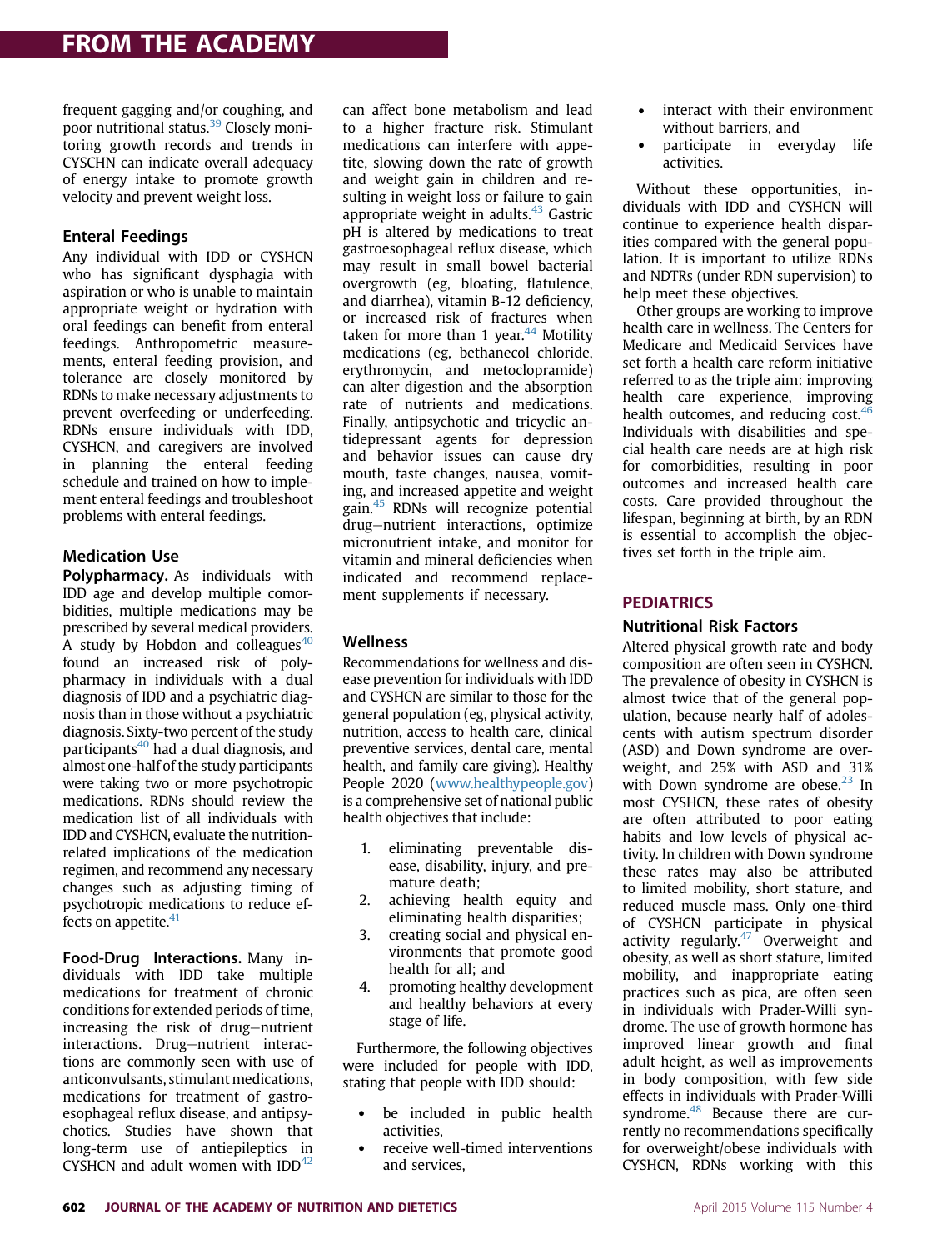frequent gagging and/or coughing, and poor nutritional status.<sup>[39](#page-14-0)</sup> Closely monitoring growth records and trends in CYSCHN can indicate overall adequacy of energy intake to promote growth velocity and prevent weight loss.

## Enteral Feedings

Any individual with IDD or CYSHCN who has significant dysphagia with aspiration or who is unable to maintain appropriate weight or hydration with oral feedings can benefit from enteral feedings. Anthropometric measurements, enteral feeding provision, and tolerance are closely monitored by RDNs to make necessary adjustments to prevent overfeeding or underfeeding. RDNs ensure individuals with IDD, CYSHCN, and caregivers are involved in planning the enteral feeding schedule and trained on how to implement enteral feedings and troubleshoot problems with enteral feedings.

## Medication Use

Polypharmacy. As individuals with IDD age and develop multiple comorbidities, multiple medications may be prescribed by several medical providers. A study by Hobdon and colleagues $40$ found an increased risk of polypharmacy in individuals with a dual diagnosis of IDD and a psychiatric diagnosis than in those without a psychiatric diagnosis. Sixty-two percent of the study participants<sup>40</sup> had a dual diagnosis, and almost one-half of the study participants were taking two or more psychotropic medications. RDNs should review the medication list of all individuals with IDD and CYSHCN, evaluate the nutritionrelated implications of the medication regimen, and recommend any necessary changes such as adjusting timing of psychotropic medications to reduce effects on appetite.<sup>41</sup>

Food-Drug Interactions. Many individuals with IDD take multiple medications for treatment of chronic conditions for extended periods of time, increasing the risk of drug-nutrient interactions. Drug-nutrient interactions are commonly seen with use of anticonvulsants, stimulant medications, medications for treatment of gastroesophageal reflux disease, and antipsychotics. Studies have shown that long-term use of antiepileptics in CYSHCN and adult women with  $IDD<sup>42</sup>$  $IDD<sup>42</sup>$  $IDD<sup>42</sup>$ 

can affect bone metabolism and lead to a higher fracture risk. Stimulant medications can interfere with appetite, slowing down the rate of growth and weight gain in children and resulting in weight loss or failure to gain appropriate weight in adults. $43$  Gastric pH is altered by medications to treat gastroesophageal reflux disease, which may result in small bowel bacterial overgrowth (eg, bloating, flatulence, and diarrhea), vitamin B-12 deficiency, or increased risk of fractures when taken for more than 1 year. $44$  Motility medications (eg, bethanecol chloride, erythromycin, and metoclopramide) can alter digestion and the absorption rate of nutrients and medications. Finally, antipsychotic and tricyclic antidepressant agents for depression and behavior issues can cause dry mouth, taste changes, nausea, vomiting, and increased appetite and weight gain.[45](#page-14-0) RDNs will recognize potential drug-nutrient interactions, optimize micronutrient intake, and monitor for vitamin and mineral deficiencies when indicated and recommend replacement supplements if necessary.

# Wellness

Recommendations for wellness and disease prevention for individuals with IDD and CYSHCN are similar to those for the general population (eg, physical activity, nutrition, access to health care, clinical preventive services, dental care, mental health, and family care giving). Healthy People 2020 ([www.healthypeople.gov\)](http://www.healthypeople.gov) is a comprehensive set of national public health objectives that include:

- 1. eliminating preventable disease, disability, injury, and premature death;
- 2. achieving health equity and eliminating health disparities;
- 3. creating social and physical environments that promote good health for all; and
- 4. promoting healthy development and healthy behaviors at every stage of life.

Furthermore, the following objectives were included for people with IDD, stating that people with IDD should:

- be included in public health activities,
- receive well-timed interventions and services,
- $\bullet$  interact with their environment without barriers, and
- participate in everyday life activities.

Without these opportunities, individuals with IDD and CYSHCN will continue to experience health disparities compared with the general population. It is important to utilize RDNs and NDTRs (under RDN supervision) to help meet these objectives.

Other groups are working to improve health care in wellness. The Centers for Medicare and Medicaid Services have set forth a health care reform initiative referred to as the triple aim: improving health care experience, improving health outcomes, and reducing  $cost<sub>1</sub><sup>46</sup>$  $cost<sub>1</sub><sup>46</sup>$  $cost<sub>1</sub><sup>46</sup>$ Individuals with disabilities and special health care needs are at high risk for comorbidities, resulting in poor outcomes and increased health care costs. Care provided throughout the lifespan, beginning at birth, by an RDN is essential to accomplish the objectives set forth in the triple aim.

## **PEDIATRICS**

# **Nutritional Risk Factors**

Altered physical growth rate and body composition are often seen in CYSHCN. The prevalence of obesity in CYSHCN is almost twice that of the general population, because nearly half of adolescents with autism spectrum disorder (ASD) and Down syndrome are overweight, and 25% with ASD and 31% with Down syndrome are obese. $23$  In most CYSHCN, these rates of obesity are often attributed to poor eating habits and low levels of physical activity. In children with Down syndrome these rates may also be attributed to limited mobility, short stature, and reduced muscle mass. Only one-third of CYSHCN participate in physical activity regularly.<sup>[47](#page-14-0)</sup> Overweight and obesity, as well as short stature, limited mobility, and inappropriate eating practices such as pica, are often seen in individuals with Prader-Willi syndrome. The use of growth hormone has improved linear growth and final adult height, as well as improvements in body composition, with few side effects in individuals with Prader-Willi syndrome. $48$  Because there are currently no recommendations specifically for overweight/obese individuals with CYSHCN, RDNs working with this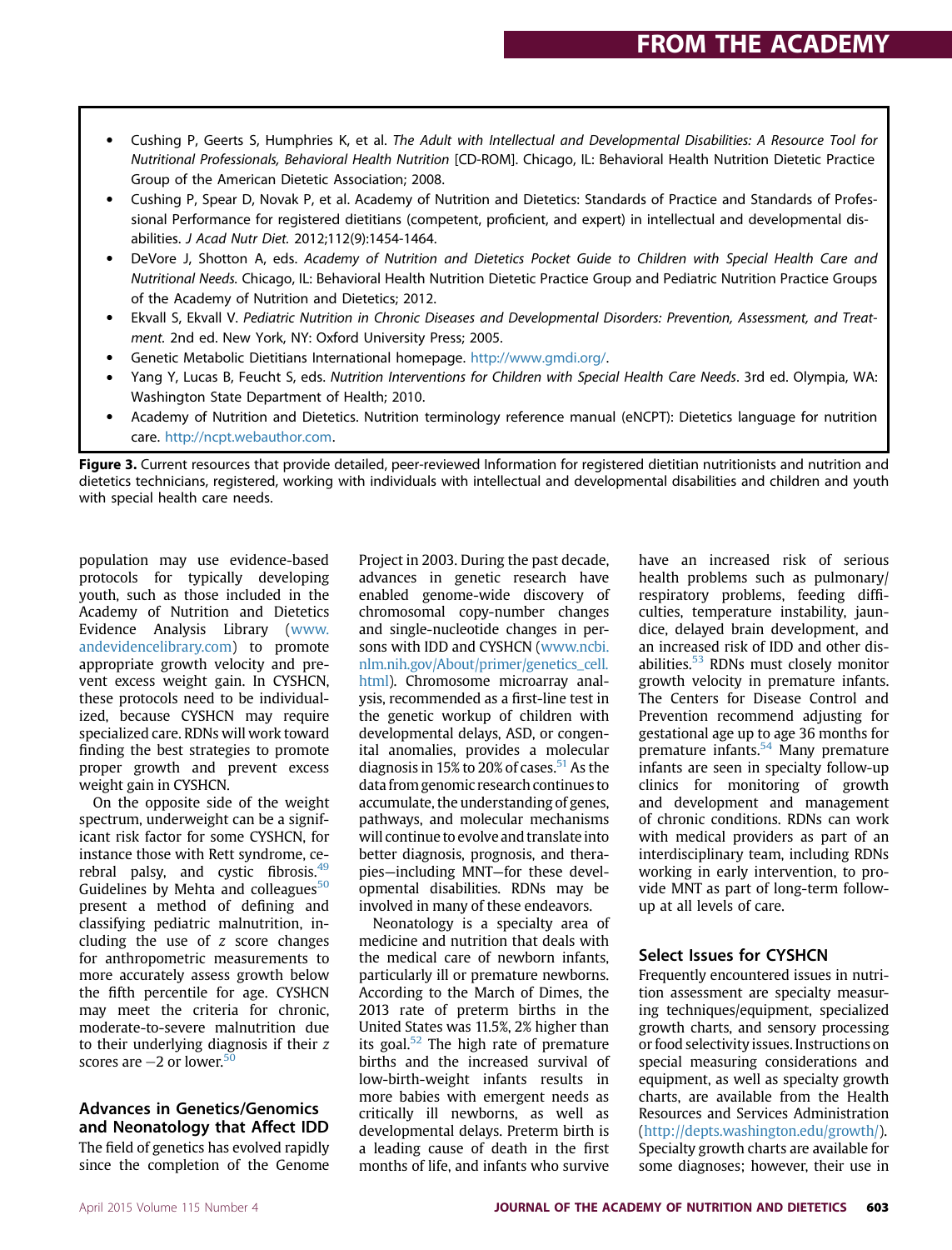- - Cushing P, Geerts S, Humphries K, et al. The Adult with Intellectual and Developmental Disabilities: A Resource Tool for Nutritional Professionals, Behavioral Health Nutrition [CD-ROM]. Chicago, IL: Behavioral Health Nutrition Dietetic Practice Group of the American Dietetic Association; 2008.
- - Cushing P, Spear D, Novak P, et al. Academy of Nutrition and Dietetics: Standards of Practice and Standards of Professional Performance for registered dietitians (competent, proficient, and expert) in intellectual and developmental disabilities. J Acad Nutr Diet. 2012;112(9):1454-1464.
- - DeVore J, Shotton A, eds. Academy of Nutrition and Dietetics Pocket Guide to Children with Special Health Care and Nutritional Needs. Chicago, IL: Behavioral Health Nutrition Dietetic Practice Group and Pediatric Nutrition Practice Groups of the Academy of Nutrition and Dietetics; 2012.
- - Ekvall S, Ekvall V. Pediatric Nutrition in Chronic Diseases and Developmental Disorders: Prevention, Assessment, and Treatment. 2nd ed. New York, NY: Oxford University Press; 2005.
- -Genetic Metabolic Dietitians International homepage. [http://www.gmdi.org/.](http://www.gmdi.org/)
- - Yang Y, Lucas B, Feucht S, eds. Nutrition Interventions for Children with Special Health Care Needs. 3rd ed. Olympia, WA: Washington State Department of Health; 2010.
- - Academy of Nutrition and Dietetics. Nutrition terminology reference manual (eNCPT): Dietetics language for nutrition care. [http://ncpt.webauthor.com.](http://ncpt.webauthor.com)

Figure 3. Current resources that provide detailed, peer-reviewed Information for registered dietitian nutritionists and nutrition and dietetics technicians, registered, working with individuals with intellectual and developmental disabilities and children and youth with special health care needs.

population may use evidence-based protocols for typically developing youth, such as those included in the Academy of Nutrition and Dietetics Evidence Analysis Library ([www.](http://www.andevidencelibrary.com) [andevidencelibrary.com](http://www.andevidencelibrary.com)) to promote appropriate growth velocity and prevent excess weight gain. In CYSHCN, these protocols need to be individualized, because CYSHCN may require specialized care. RDNs will work toward finding the best strategies to promote proper growth and prevent excess weight gain in CYSHCN.

On the opposite side of the weight spectrum, underweight can be a significant risk factor for some CYSHCN, for instance those with Rett syndrome, ce-rebral palsy, and cystic fibrosis.<sup>[49](#page-15-0)</sup> Guidelines by Mehta and colleagues $50$ present a method of defining and classifying pediatric malnutrition, including the use of z score changes for anthropometric measurements to more accurately assess growth below the fifth percentile for age. CYSHCN may meet the criteria for chronic, moderate-to-severe malnutrition due to their underlying diagnosis if their z scores are  $-2$  or lower.<sup>5</sup>

Advances in Genetics/Genomics and Neonatology that Affect IDD The field of genetics has evolved rapidly since the completion of the Genome

Project in 2003. During the past decade, advances in genetic research have enabled genome-wide discovery of chromosomal copy-number changes and single-nucleotide changes in persons with IDD and CYSHCN [\(www.ncbi.](http://www.ncbi.nlm.nih.gov/About/primer/genetics_cell.html) [nlm.nih.gov/About/primer/genetics\\_cell.](http://www.ncbi.nlm.nih.gov/About/primer/genetics_cell.html) [html](http://www.ncbi.nlm.nih.gov/About/primer/genetics_cell.html)). Chromosome microarray analysis, recommended as a first-line test in the genetic workup of children with developmental delays, ASD, or congenital anomalies, provides a molecular diagnosis in 15% to 20% of cases.<sup>[51](#page-15-0)</sup> As the data from genomic research continues to accumulate, the understanding of genes, pathways, and molecular mechanisms will continue to evolve and translate into better diagnosis, prognosis, and therapies—including MNT—for these developmental disabilities. RDNs may be involved in many of these endeavors.

Neonatology is a specialty area of medicine and nutrition that deals with the medical care of newborn infants, particularly ill or premature newborns. According to the March of Dimes, the 2013 rate of preterm births in the United States was 11.5%, 2% higher than its goal. $52$  The high rate of premature births and the increased survival of low-birth-weight infants results in more babies with emergent needs as critically ill newborns, as well as developmental delays. Preterm birth is a leading cause of death in the first months of life, and infants who survive

have an increased risk of serious health problems such as pulmonary/ respiratory problems, feeding difficulties, temperature instability, jaundice, delayed brain development, and an increased risk of IDD and other dis-abilities.<sup>[53](#page-15-0)</sup> RDNs must closely monitor growth velocity in premature infants. The Centers for Disease Control and Prevention recommend adjusting for gestational age up to age 36 months for premature infants.<sup>[54](#page-15-0)</sup> Many premature infants are seen in specialty follow-up clinics for monitoring of growth and development and management of chronic conditions. RDNs can work with medical providers as part of an interdisciplinary team, including RDNs working in early intervention, to provide MNT as part of long-term followup at all levels of care.

# Select Issues for CYSHCN

Frequently encountered issues in nutrition assessment are specialty measuring techniques/equipment, specialized growth charts, and sensory processing or food selectivity issues. Instructions on special measuring considerations and equipment, as well as specialty growth charts, are available from the Health Resources and Services Administration ([http://depts.washington.edu/growth/\)](http://depts.washington.edu/growth/). Specialty growth charts are available for some diagnoses; however, their use in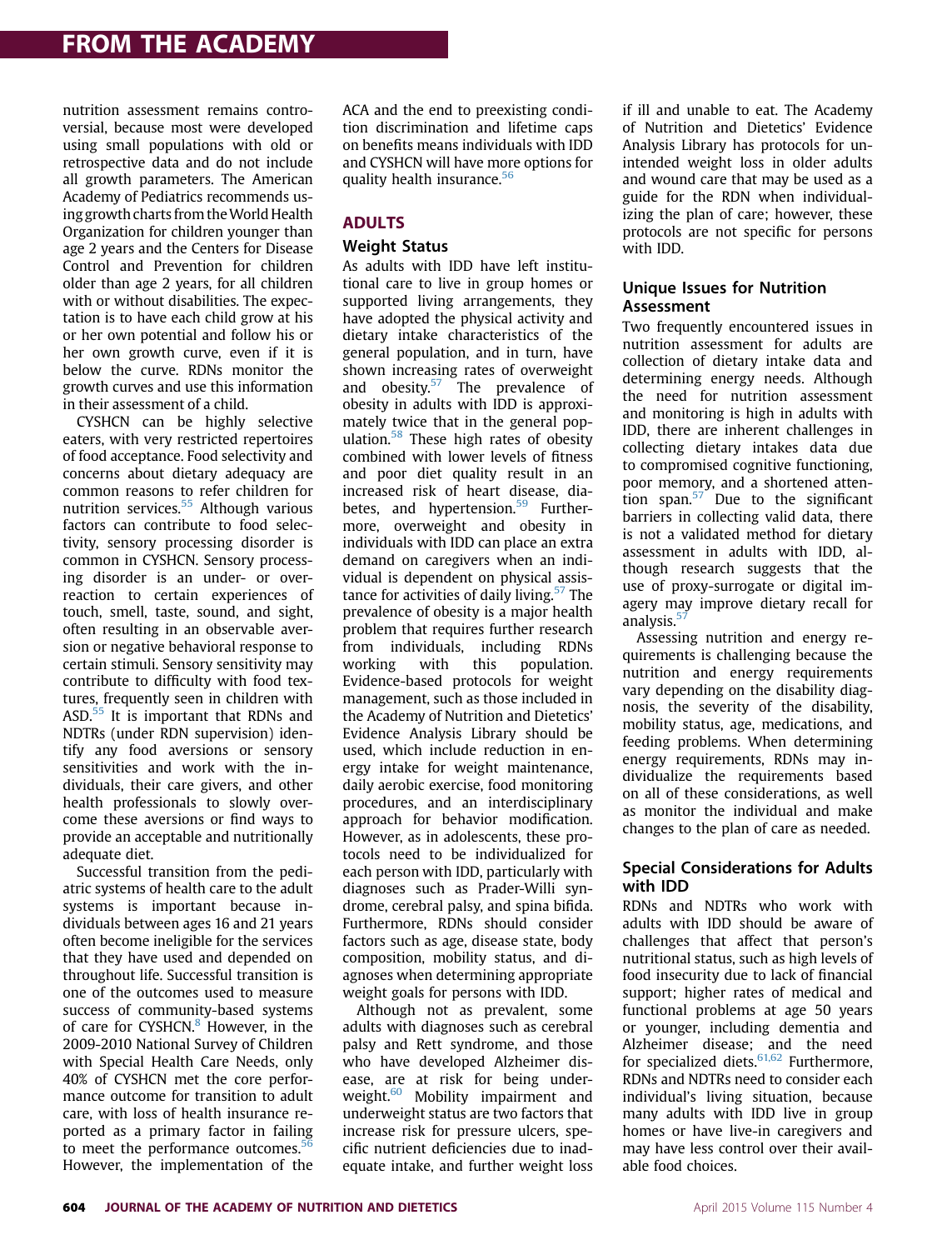nutrition assessment remains controversial, because most were developed using small populations with old or retrospective data and do not include all growth parameters. The American Academy of Pediatrics recommends using growth charts from theWorld Health Organization for children younger than age 2 years and the Centers for Disease Control and Prevention for children older than age 2 years, for all children with or without disabilities. The expectation is to have each child grow at his or her own potential and follow his or her own growth curve, even if it is below the curve. RDNs monitor the growth curves and use this information in their assessment of a child.

CYSHCN can be highly selective eaters, with very restricted repertoires of food acceptance. Food selectivity and concerns about dietary adequacy are common reasons to refer children for nutrition services.<sup>[55](#page-15-0)</sup> Although various factors can contribute to food selectivity, sensory processing disorder is common in CYSHCN. Sensory processing disorder is an under- or overreaction to certain experiences of touch, smell, taste, sound, and sight, often resulting in an observable aversion or negative behavioral response to certain stimuli. Sensory sensitivity may contribute to difficulty with food textures, frequently seen in children with ASD.[55](#page-15-0) It is important that RDNs and NDTRs (under RDN supervision) identify any food aversions or sensory sensitivities and work with the individuals, their care givers, and other health professionals to slowly overcome these aversions or find ways to provide an acceptable and nutritionally adequate diet.

Successful transition from the pediatric systems of health care to the adult systems is important because individuals between ages 16 and 21 years often become ineligible for the services that they have used and depended on throughout life. Successful transition is one of the outcomes used to measure success of community-based systems of care for CYSHCN.<sup>[8](#page-14-0)</sup> However, in the 2009-2010 National Survey of Children with Special Health Care Needs, only 40% of CYSHCN met the core performance outcome for transition to adult care, with loss of health insurance reported as a primary factor in failing to meet the performance outcomes.<sup>5</sup> However, the implementation of the

ACA and the end to preexisting condition discrimination and lifetime caps on benefits means individuals with IDD and CYSHCN will have more options for quality health insurance.<sup>[56](#page-15-0)</sup>

# **ADULTS**

# . . . . . .<br>Weight Status

As adults with IDD have left institutional care to live in group homes or supported living arrangements, they have adopted the physical activity and dietary intake characteristics of the general population, and in turn, have shown increasing rates of overweight and obesity.<sup>[57](#page-15-0)</sup> The prevalence of obesity in adults with IDD is approximately twice that in the general population.[58](#page-15-0) These high rates of obesity combined with lower levels of fitness and poor diet quality result in an increased risk of heart disease, diabetes, and hypertension.<sup>59</sup> Furthermore, overweight and obesity in individuals with IDD can place an extra demand on caregivers when an individual is dependent on physical assis-tance for activities of daily living.<sup>[57](#page-15-0)</sup> The prevalence of obesity is a major health problem that requires further research from individuals, including RDNs working with this population. Evidence-based protocols for weight management, such as those included in the Academy of Nutrition and Dietetics' Evidence Analysis Library should be used, which include reduction in energy intake for weight maintenance, daily aerobic exercise, food monitoring procedures, and an interdisciplinary approach for behavior modification. However, as in adolescents, these protocols need to be individualized for each person with IDD, particularly with diagnoses such as Prader-Willi syndrome, cerebral palsy, and spina bifida. Furthermore, RDNs should consider factors such as age, disease state, body composition, mobility status, and diagnoses when determining appropriate weight goals for persons with IDD.

Although not as prevalent, some adults with diagnoses such as cerebral palsy and Rett syndrome, and those who have developed Alzheimer disease, are at risk for being underweight.<sup>60</sup> Mobility impairment and underweight status are two factors that increase risk for pressure ulcers, specific nutrient deficiencies due to inadequate intake, and further weight loss if ill and unable to eat. The Academy of Nutrition and Dietetics' Evidence Analysis Library has protocols for unintended weight loss in older adults and wound care that may be used as a guide for the RDN when individualizing the plan of care; however, these protocols are not specific for persons with IDD.

## Unique Issues for Nutrition Assessment

Two frequently encountered issues in nutrition assessment for adults are collection of dietary intake data and determining energy needs. Although the need for nutrition assessment and monitoring is high in adults with IDD, there are inherent challenges in collecting dietary intakes data due to compromised cognitive functioning, poor memory, and a shortened attention span. $57$  Due to the significant barriers in collecting valid data, there is not a validated method for dietary assessment in adults with IDD, although research suggests that the use of proxy-surrogate or digital imagery may improve dietary recall for analysis.<sup>57</sup>

Assessing nutrition and energy requirements is challenging because the nutrition and energy requirements vary depending on the disability diagnosis, the severity of the disability, mobility status, age, medications, and feeding problems. When determining energy requirements, RDNs may individualize the requirements based on all of these considerations, as well as monitor the individual and make changes to the plan of care as needed.

# Special Considerations for Adults with IDD

RDNs and NDTRs who work with adults with IDD should be aware of challenges that affect that person's nutritional status, such as high levels of food insecurity due to lack of financial support; higher rates of medical and functional problems at age 50 years or younger, including dementia and Alzheimer disease; and the need for specialized diets. $61,62$  Furthermore. RDNs and NDTRs need to consider each individual's living situation, because many adults with IDD live in group homes or have live-in caregivers and may have less control over their available food choices.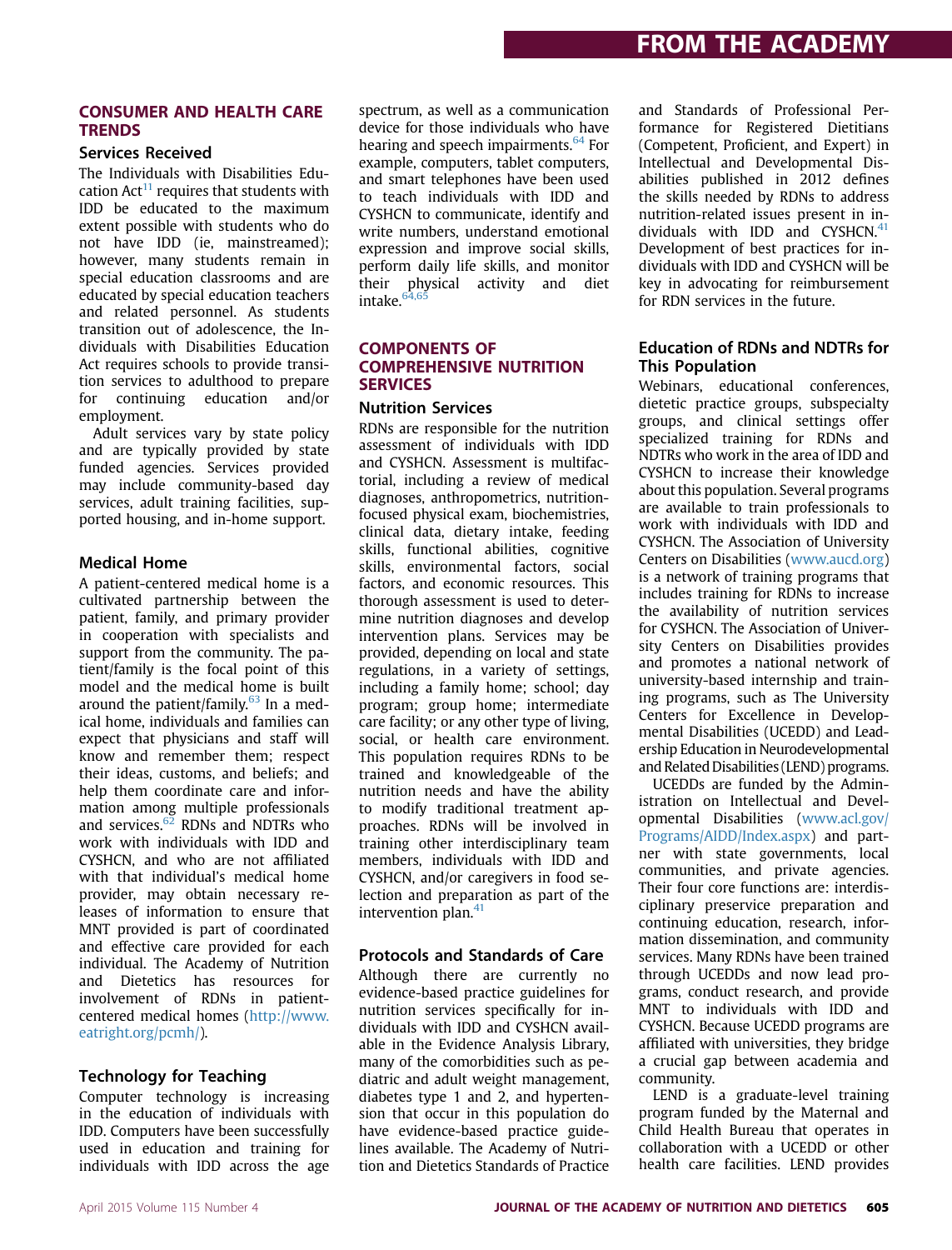# CONSUMER AND HEALTH CARE

# -------<br>Services Received

The Individuals with Disabilities Education  $Act^{11}$  $Act^{11}$  $Act^{11}$  requires that students with IDD be educated to the maximum extent possible with students who do not have IDD (ie, mainstreamed); however, many students remain in special education classrooms and are educated by special education teachers and related personnel. As students transition out of adolescence, the Individuals with Disabilities Education Act requires schools to provide transition services to adulthood to prepare for continuing education and/or employment.

Adult services vary by state policy and are typically provided by state funded agencies. Services provided may include community-based day services, adult training facilities, supported housing, and in-home support.

## Medical Home

A patient-centered medical home is a cultivated partnership between the patient, family, and primary provider in cooperation with specialists and support from the community. The patient/family is the focal point of this model and the medical home is built around the patient/family. $63$  In a medical home, individuals and families can expect that physicians and staff will know and remember them; respect their ideas, customs, and beliefs; and help them coordinate care and information among multiple professionals and services.<sup>[62](#page-15-0)</sup> RDNs and NDTRs who work with individuals with IDD and CYSHCN, and who are not affiliated with that individual's medical home provider, may obtain necessary releases of information to ensure that MNT provided is part of coordinated and effective care provided for each individual. The Academy of Nutrition and Dietetics has resources for involvement of RDNs in patientcentered medical homes ([http://www.](http://www.eatright.org/pcmh/) [eatright.org/pcmh/\)](http://www.eatright.org/pcmh/).

## Technology for Teaching

Computer technology is increasing in the education of individuals with IDD. Computers have been successfully used in education and training for individuals with IDD across the age spectrum, as well as a communication device for those individuals who have hearing and speech impairments.<sup>[64](#page-15-0)</sup> For example, computers, tablet computers, and smart telephones have been used to teach individuals with IDD and CYSHCN to communicate, identify and write numbers, understand emotional expression and improve social skills, perform daily life skills, and monitor their physical activity and diet intake.<sup>[64,65](#page-15-0)</sup>

# **COMPONENTS OF<br>COMPREHENSIVE NUTRITION SERVICES**

# **SERVICES**<br>Nutrition Services

RDNs are responsible for the nutrition assessment of individuals with IDD and CYSHCN. Assessment is multifactorial, including a review of medical diagnoses, anthropometrics, nutritionfocused physical exam, biochemistries, clinical data, dietary intake, feeding skills, functional abilities, cognitive skills, environmental factors, social factors, and economic resources. This thorough assessment is used to determine nutrition diagnoses and develop intervention plans. Services may be provided, depending on local and state regulations, in a variety of settings, including a family home; school; day program; group home; intermediate care facility; or any other type of living, social, or health care environment. This population requires RDNs to be trained and knowledgeable of the nutrition needs and have the ability to modify traditional treatment approaches. RDNs will be involved in training other interdisciplinary team members, individuals with IDD and CYSHCN, and/or caregivers in food selection and preparation as part of the intervention plan. $41$ 

# Protocols and Standards of Care

Although there are currently no evidence-based practice guidelines for nutrition services specifically for individuals with IDD and CYSHCN available in the Evidence Analysis Library, many of the comorbidities such as pediatric and adult weight management, diabetes type 1 and 2, and hypertension that occur in this population do have evidence-based practice guidelines available. The Academy of Nutrition and Dietetics Standards of Practice

and Standards of Professional Performance for Registered Dietitians (Competent, Proficient, and Expert) in Intellectual and Developmental Disabilities published in 2012 defines the skills needed by RDNs to address nutrition-related issues present in in-dividuals with IDD and CYSHCN.<sup>[41](#page-14-0)</sup> Development of best practices for individuals with IDD and CYSHCN will be key in advocating for reimbursement for RDN services in the future.

## Education of RDNs and NDTRs for This Population

Webinars, educational conferences, dietetic practice groups, subspecialty groups, and clinical settings offer specialized training for RDNs and NDTRs who work in the area of IDD and CYSHCN to increase their knowledge about this population. Several programs are available to train professionals to work with individuals with IDD and CYSHCN. The Association of University Centers on Disabilities ([www.aucd.org\)](http://www.aucd.org) is a network of training programs that includes training for RDNs to increase the availability of nutrition services for CYSHCN. The Association of University Centers on Disabilities provides and promotes a national network of university-based internship and training programs, such as The University Centers for Excellence in Developmental Disabilities (UCEDD) and Leadership Education in Neurodevelopmental and Related Disabilities (LEND) programs.

UCEDDs are funded by the Administration on Intellectual and Developmental Disabilities [\(www.acl.gov/](http://www.acl.gov/Programs/AIDD/Index.aspx) [Programs/AIDD/Index.aspx](http://www.acl.gov/Programs/AIDD/Index.aspx)) and partner with state governments, local communities, and private agencies. Their four core functions are: interdisciplinary preservice preparation and continuing education, research, information dissemination, and community services. Many RDNs have been trained through UCEDDs and now lead programs, conduct research, and provide MNT to individuals with IDD and CYSHCN. Because UCEDD programs are affiliated with universities, they bridge a crucial gap between academia and community.

LEND is a graduate-level training program funded by the Maternal and Child Health Bureau that operates in collaboration with a UCEDD or other health care facilities. LEND provides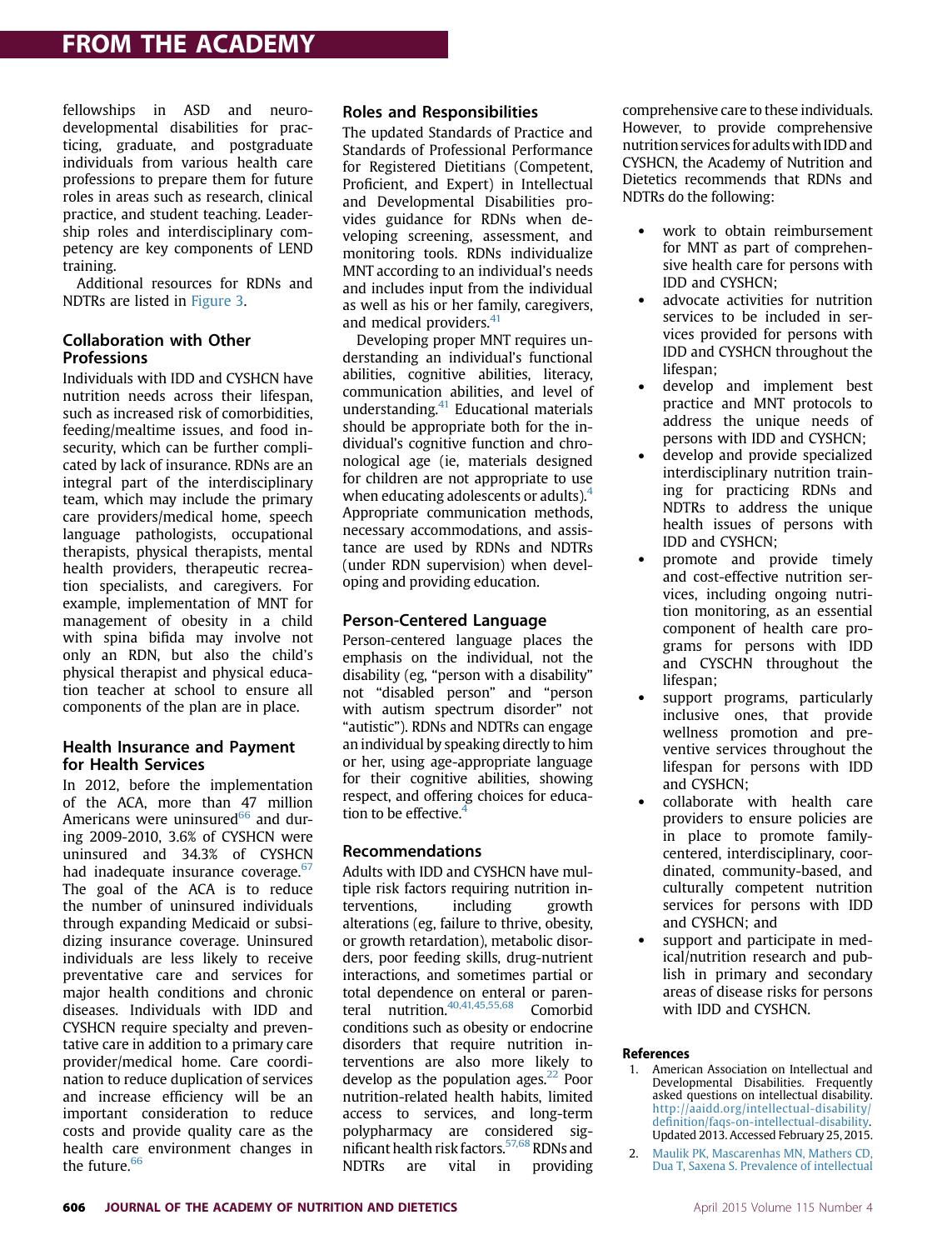<span id="page-13-0"></span>fellowships in ASD and neurodevelopmental disabilities for practicing, graduate, and postgraduate individuals from various health care professions to prepare them for future roles in areas such as research, clinical practice, and student teaching. Leadership roles and interdisciplinary competency are key components of LEND training.

Additional resources for RDNs and NDTRs are listed in Figure 3.

## Collaboration with Other Professions

Individuals with IDD and CYSHCN have nutrition needs across their lifespan, such as increased risk of comorbidities, feeding/mealtime issues, and food insecurity, which can be further complicated by lack of insurance. RDNs are an integral part of the interdisciplinary team, which may include the primary care providers/medical home, speech language pathologists, occupational therapists, physical therapists, mental health providers, therapeutic recreation specialists, and caregivers. For example, implementation of MNT for management of obesity in a child with spina bifida may involve not only an RDN, but also the child's physical therapist and physical education teacher at school to ensure all components of the plan are in place.

### Health Insurance and Payment for Health Services

In 2012, before the implementation of the ACA, more than 47 million Americans were uninsured $66$  and during 2009-2010, 3.6% of CYSHCN were uninsured and 34.3% of CYSHCN had inadequate insurance coverage.<sup>[67](#page-15-0)</sup> The goal of the ACA is to reduce the number of uninsured individuals through expanding Medicaid or subsidizing insurance coverage. Uninsured individuals are less likely to receive preventative care and services for major health conditions and chronic diseases. Individuals with IDD and CYSHCN require specialty and preventative care in addition to a primary care provider/medical home. Care coordination to reduce duplication of services and increase efficiency will be an important consideration to reduce costs and provide quality care as the health care environment changes in the future.<sup>66</sup>

## Roles and Responsibilities

The updated Standards of Practice and Standards of Professional Performance for Registered Dietitians (Competent, Proficient, and Expert) in Intellectual and Developmental Disabilities provides guidance for RDNs when developing screening, assessment, and monitoring tools. RDNs individualize MNT according to an individual's needs and includes input from the individual as well as his or her family, caregivers, and medical providers.<sup>[41](#page-14-0)</sup>

Developing proper MNT requires understanding an individual's functional abilities, cognitive abilities, literacy, communication abilities, and level of understanding[.41](#page-14-0) Educational materials should be appropriate both for the individual's cognitive function and chronological age (ie, materials designed for children are not appropriate to use when educating adolescents or adults). $4$ Appropriate communication methods, necessary accommodations, and assistance are used by RDNs and NDTRs (under RDN supervision) when developing and providing education.

## Person-Centered Language

Person-centered language places the emphasis on the individual, not the disability (eg, "person with a disability" not "disabled person" and "person with autism spectrum disorder" not "autistic"). RDNs and NDTRs can engage an individual by speaking directly to him or her, using age-appropriate language for their cognitive abilities, showing respect, and offering choices for education to be effective.<sup>4</sup>

# Recommendations

Adults with IDD and CYSHCN have multiple risk factors requiring nutrition interventions, including growth alterations (eg, failure to thrive, obesity, or growth retardation), metabolic disorders, poor feeding skills, drug-nutrient interactions, and sometimes partial or total dependence on enteral or paren-teral nutrition.<sup>[40,41,45,55,68](#page-14-0)</sup> Comorbid conditions such as obesity or endocrine disorders that require nutrition interventions are also more likely to develop as the population ages. $22$  Poor nutrition-related health habits, limited access to services, and long-term polypharmacy are considered sig-nificant health risk factors.<sup>[57,68](#page-15-0)</sup> RDNs and NDTRs are vital in providing comprehensive care to these individuals. However, to provide comprehensive nutrition services for adults with IDD and CYSHCN, the Academy of Nutrition and Dietetics recommends that RDNs and NDTRs do the following:

- work to obtain reimbursement for MNT as part of comprehensive health care for persons with IDD and CYSHCN;
- advocate activities for nutrition services to be included in services provided for persons with IDD and CYSHCN throughout the lifespan;
- develop and implement best practice and MNT protocols to address the unique needs of persons with IDD and CYSHCN;
- develop and provide specialized interdisciplinary nutrition training for practicing RDNs and NDTRs to address the unique health issues of persons with IDD and CYSHCN;
- promote and provide timely and cost-effective nutrition services, including ongoing nutrition monitoring, as an essential component of health care programs for persons with IDD and CYSCHN throughout the lifespan;
- support programs, particularly inclusive ones, that provide wellness promotion and preventive services throughout the lifespan for persons with IDD and CYSHCN;
- collaborate with health care providers to ensure policies are in place to promote familycentered, interdisciplinary, coordinated, community-based, and culturally competent nutrition services for persons with IDD and CYSHCN; and
- support and participate in medical/nutrition research and publish in primary and secondary areas of disease risks for persons with IDD and CYSHCN.

## **References**

- 1. American Association on Intellectual and Developmental Disabilities. Frequently asked questions on intellectual disability. [http://aaidd.org/intellectual-disability/](http://aaidd.org/intellectual-disability/definition/faqs-on-intellectual-disability) defi[nition/faqs-on-intellectual-disability.](http://aaidd.org/intellectual-disability/definition/faqs-on-intellectual-disability) Updated 2013. Accessed February 25, 2015.
- 2. [Maulik PK, Mascarenhas MN, Mathers CD,](http://refhub.elsevier.com/S2212-2672(15)00121-5/sref1) [Dua T, Saxena S. Prevalence of intellectual](http://refhub.elsevier.com/S2212-2672(15)00121-5/sref1)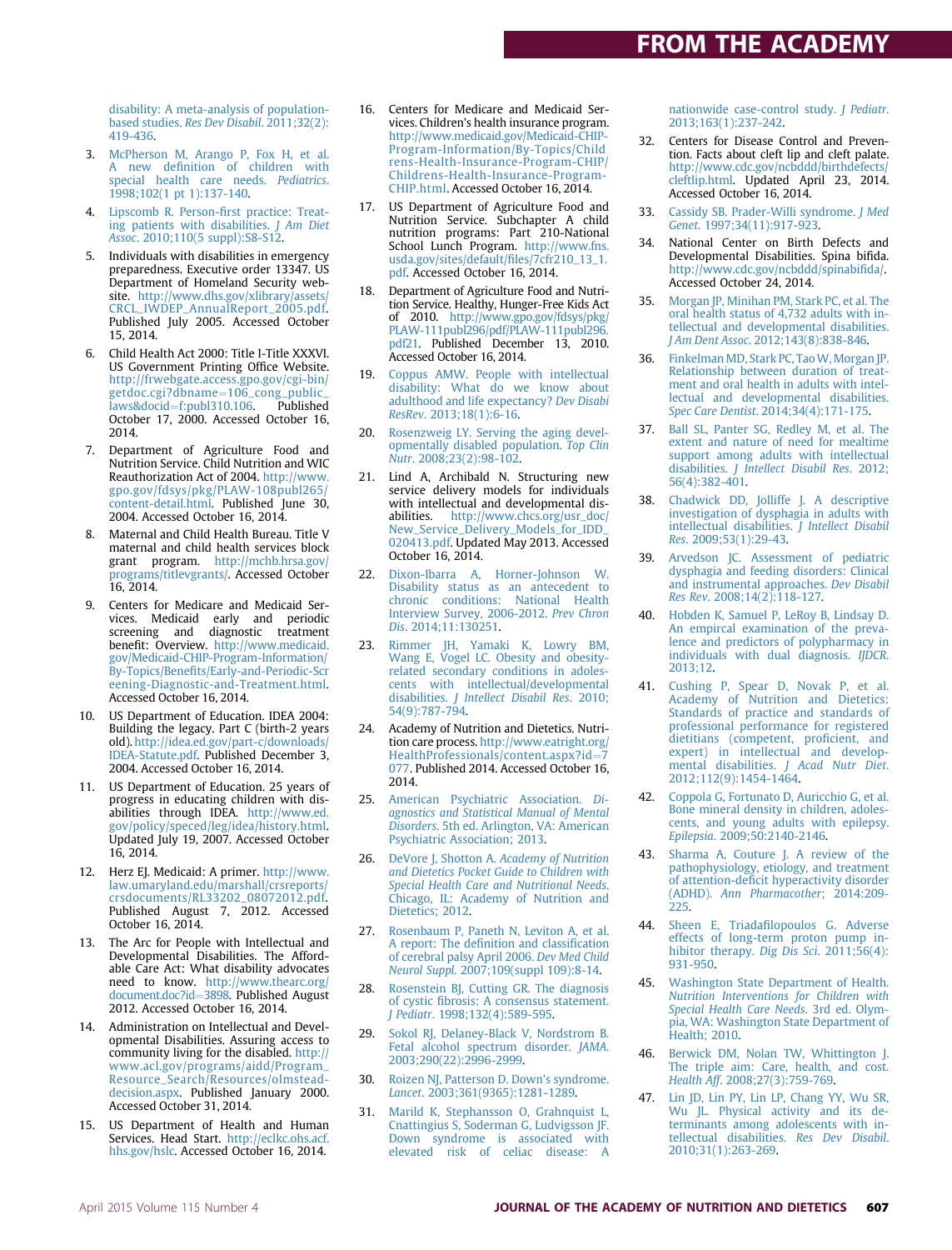<span id="page-14-0"></span>[disability: A meta-analysis of population](http://refhub.elsevier.com/S2212-2672(15)00121-5/sref1)based studies. [Res Dev Disabil](http://refhub.elsevier.com/S2212-2672(15)00121-5/sref1). 2011;32(2): [419-436.](http://refhub.elsevier.com/S2212-2672(15)00121-5/sref1)

- 3. [McPherson M, Arango P, Fox H, et al.](http://refhub.elsevier.com/S2212-2672(15)00121-5/sref2) A new defi[nition of children with](http://refhub.elsevier.com/S2212-2672(15)00121-5/sref2) [special health care needs.](http://refhub.elsevier.com/S2212-2672(15)00121-5/sref2) Pediatrics. [1998;102\(1 pt 1\):137-140](http://refhub.elsevier.com/S2212-2672(15)00121-5/sref2).
- 4. [Lipscomb R. Person-](http://refhub.elsevier.com/S2212-2672(15)00121-5/sref3)first practice: Treat[ing patients with disabilities.](http://refhub.elsevier.com/S2212-2672(15)00121-5/sref3) J Am Diet Assoc[. 2010;110\(5 suppl\):S8-S12](http://refhub.elsevier.com/S2212-2672(15)00121-5/sref3).
- 5. Individuals with disabilities in emergency preparedness. Executive order 13347. US Department of Homeland Security website. [http://www.dhs.gov/xlibrary/assets/](http://www.dhs.gov/xlibrary/assets/CRCL_IWDEP_AnnualReport_2005.pdf) [CRCL\\_IWDEP\\_AnnualReport\\_2005.pdf](http://www.dhs.gov/xlibrary/assets/CRCL_IWDEP_AnnualReport_2005.pdf). Published July 2005. Accessed October 15, 2014.
- 6. Child Health Act 2000: Title I-Title XXXVI. US Government Printing Office Website. [http://frwebgate.access.gpo.gov/cgi-bin/](http://frwebgate.access.gpo.gov/cgi-bin/getdoc.cgi?dbname=106_cong_public_laws%26docid=f:publ310.106) [getdoc.cgi?dbname](http://frwebgate.access.gpo.gov/cgi-bin/getdoc.cgi?dbname=106_cong_public_laws%26docid=f:publ310.106)=[106\\_cong\\_public\\_](http://frwebgate.access.gpo.gov/cgi-bin/getdoc.cgi?dbname=106_cong_public_laws%26docid=f:publ310.106)<br>laws&docid=f:publ310.106. Published [laws&docid](http://frwebgate.access.gpo.gov/cgi-bin/getdoc.cgi?dbname=106_cong_public_laws%26docid=f:publ310.106)=[f:publ310.106.](http://frwebgate.access.gpo.gov/cgi-bin/getdoc.cgi?dbname=106_cong_public_laws%26docid=f:publ310.106) October 17, 2000. Accessed October 16, 2014.
- 7. Department of Agriculture Food and Nutrition Service. Child Nutrition and WIC Reauthorization Act of 2004. [http://www.](http://www.gpo.gov/fdsys/pkg/PLAW-108publ265/content-detail.html) [gpo.gov/fdsys/pkg/PLAW-108publ265/](http://www.gpo.gov/fdsys/pkg/PLAW-108publ265/content-detail.html) [content-detail.html.](http://www.gpo.gov/fdsys/pkg/PLAW-108publ265/content-detail.html) Published June 30, 2004. Accessed October 16, 2014.
- 8. Maternal and Child Health Bureau. Title V maternal and child health services block grant program. [http://mchb.hrsa.gov/](http://mchb.hrsa.gov/programs/titlevgrants/) [programs/titlevgrants/.](http://mchb.hrsa.gov/programs/titlevgrants/) Accessed October 16, 2014.
- 9. Centers for Medicare and Medicaid Services. Medicaid early and periodic screening and diagnostic treatment benefit: Overview. [http://www.medicaid.](http://www.medicaid.gov/Medicaid-CHIP-Program-Information/By-Topics/Benefits/Early-and-Periodic-Screening-Diagnostic-and-Treatment.html) [gov/Medicaid-CHIP-Program-Information/](http://www.medicaid.gov/Medicaid-CHIP-Program-Information/By-Topics/Benefits/Early-and-Periodic-Screening-Diagnostic-and-Treatment.html) By-Topics/Benefi[ts/Early-and-Periodic-Scr](http://www.medicaid.gov/Medicaid-CHIP-Program-Information/By-Topics/Benefits/Early-and-Periodic-Screening-Diagnostic-and-Treatment.html) [eening-Diagnostic-and-Treatment.html](http://www.medicaid.gov/Medicaid-CHIP-Program-Information/By-Topics/Benefits/Early-and-Periodic-Screening-Diagnostic-and-Treatment.html). Accessed October 16, 2014.
- 10. US Department of Education. IDEA 2004: Building the legacy. Part C (birth-2 years old). [http://idea.ed.gov/part-c/downloads/](http://idea.ed.gov/part-c/downloads/IDEA-Statute.pdf) [IDEA-Statute.pdf](http://idea.ed.gov/part-c/downloads/IDEA-Statute.pdf). Published December 3, 2004. Accessed October 16, 2014.
- 11. US Department of Education. 25 years of progress in educating children with disabilities through IDEA. [http://www.ed.](http://www.ed.gov/policy/speced/leg/idea/history.html) [gov/policy/speced/leg/idea/history.html](http://www.ed.gov/policy/speced/leg/idea/history.html). Updated July 19, 2007. Accessed October 16, 2014.
- 12. Herz EJ. Medicaid: A primer. [http://www.](http://www.law.umaryland.edu/marshall/crsreports/crsdocuments/RL33202_08072012.pdf) [law.umaryland.edu/marshall/crsreports/](http://www.law.umaryland.edu/marshall/crsreports/crsdocuments/RL33202_08072012.pdf) [crsdocuments/RL33202\\_08072012.pdf.](http://www.law.umaryland.edu/marshall/crsreports/crsdocuments/RL33202_08072012.pdf) Published August 7, 2012. Accessed October 16, 2014.
- 13. The Arc for People with Intellectual and Developmental Disabilities. The Affordable Care Act: What disability advocates need to know. [http://www.thearc.org/](http://www.thearc.org/document.doc?id=3898) [document.doc?id](http://www.thearc.org/document.doc?id=3898)=[3898.](http://www.thearc.org/document.doc?id=3898) Published August 2012. Accessed October 16, 2014.
- 14. Administration on Intellectual and Developmental Disabilities. Assuring access to community living for the disabled. [http://](http://www.acl.gov/programs/aidd/Program_Resource_Search/Resources/olmstead-decision.aspx) [www.acl.gov/programs/aidd/Program\\_](http://www.acl.gov/programs/aidd/Program_Resource_Search/Resources/olmstead-decision.aspx) [Resource\\_Search/Resources/olmstead](http://www.acl.gov/programs/aidd/Program_Resource_Search/Resources/olmstead-decision.aspx)[decision.aspx.](http://www.acl.gov/programs/aidd/Program_Resource_Search/Resources/olmstead-decision.aspx) Published January 2000. Accessed October 31, 2014.
- 15. US Department of Health and Human Services. Head Start. [http://eclkc.ohs.acf.](http://eclkc.ohs.acf.hhs.gov/hslc) [hhs.gov/hslc.](http://eclkc.ohs.acf.hhs.gov/hslc) Accessed October 16, 2014.
- 16. Centers for Medicare and Medicaid Services. Children's health insurance program. [http://www.medicaid.gov/Medicaid-CHIP-](http://www.medicaid.gov/Medicaid-CHIP-Program-Information/By-Topics/Childrens-Health-Insurance-Program-CHIP/Childrens-Health-Insurance-Program-CHIP.html)[Program-Information/By-Topics/Child](http://www.medicaid.gov/Medicaid-CHIP-Program-Information/By-Topics/Childrens-Health-Insurance-Program-CHIP/Childrens-Health-Insurance-Program-CHIP.html) [rens-Health-Insurance-Program-CHIP/](http://www.medicaid.gov/Medicaid-CHIP-Program-Information/By-Topics/Childrens-Health-Insurance-Program-CHIP/Childrens-Health-Insurance-Program-CHIP.html) [Childrens-Health-Insurance-Program-](http://www.medicaid.gov/Medicaid-CHIP-Program-Information/By-Topics/Childrens-Health-Insurance-Program-CHIP/Childrens-Health-Insurance-Program-CHIP.html)[CHIP.html](http://www.medicaid.gov/Medicaid-CHIP-Program-Information/By-Topics/Childrens-Health-Insurance-Program-CHIP/Childrens-Health-Insurance-Program-CHIP.html). Accessed October 16, 2014.
- 17. US Department of Agriculture Food and Nutrition Service. Subchapter A child nutrition programs: Part 210-National School Lunch Program. [http://www.fns.](http://www.fns.usda.gov/sites/default/files/7cfr210_13_1.pdf) [usda.gov/sites/default/](http://www.fns.usda.gov/sites/default/files/7cfr210_13_1.pdf)files/7cfr210\_13\_1. [pdf.](http://www.fns.usda.gov/sites/default/files/7cfr210_13_1.pdf) Accessed October 16, 2014.
- Department of Agriculture Food and Nutrition Service. Healthy, Hunger-Free Kids Act of 2010. [http://www.gpo.gov/fdsys/pkg/](http://www.gpo.gov/fdsys/pkg/PLAW-111publ296/pdf/PLAW-111publ296.pdf21) [PLAW-111publ296/pdf/PLAW-111publ296.](http://www.gpo.gov/fdsys/pkg/PLAW-111publ296/pdf/PLAW-111publ296.pdf21) [pdf21](http://www.gpo.gov/fdsys/pkg/PLAW-111publ296/pdf/PLAW-111publ296.pdf21). Published December 13, 2010. Accessed October 16, 2014.
- 19. [Coppus AMW. People with intellectual](http://refhub.elsevier.com/S2212-2672(15)00121-5/sref4) [disability: What do we know about](http://refhub.elsevier.com/S2212-2672(15)00121-5/sref4) [adulthood and life expectancy?](http://refhub.elsevier.com/S2212-2672(15)00121-5/sref4) Dev Disabi ResRev[. 2013;18\(1\):6-16](http://refhub.elsevier.com/S2212-2672(15)00121-5/sref4).
- 20. [Rosenzweig LY. Serving the aging devel](http://refhub.elsevier.com/S2212-2672(15)00121-5/sref5)[opmentally disabled population.](http://refhub.elsevier.com/S2212-2672(15)00121-5/sref5) Top Clin Nutr[. 2008;23\(2\):98-102](http://refhub.elsevier.com/S2212-2672(15)00121-5/sref5).
- 21. Lind A, Archibald N. Structuring new service delivery models for individuals with intellectual and developmental disabilities. [http://www.chcs.org/usr\\_doc/](http://www.chcs.org/usr_doc/New_Service_Delivery_Models_for_IDD_020413.pdf) [New\\_Service\\_Delivery\\_Models\\_for\\_IDD\\_](http://www.chcs.org/usr_doc/New_Service_Delivery_Models_for_IDD_020413.pdf) [020413.pdf.](http://www.chcs.org/usr_doc/New_Service_Delivery_Models_for_IDD_020413.pdf) Updated May 2013. Accessed October 16, 2014.
- 22. [Dixon-Ibarra A, Horner-Johnson W.](http://refhub.elsevier.com/S2212-2672(15)00121-5/sref7) [Disability status as an antecedent to](http://refhub.elsevier.com/S2212-2672(15)00121-5/sref7) [chronic conditions: National Health](http://refhub.elsevier.com/S2212-2672(15)00121-5/sref7) [Interview Survey, 2006-2012.](http://refhub.elsevier.com/S2212-2672(15)00121-5/sref7) Prev Chron Dis[. 2014;11:130251.](http://refhub.elsevier.com/S2212-2672(15)00121-5/sref7)
- 23. [Rimmer JH, Yamaki K, Lowry BM,](http://refhub.elsevier.com/S2212-2672(15)00121-5/sref6) [Wang E, Vogel LC. Obesity and obesity](http://refhub.elsevier.com/S2212-2672(15)00121-5/sref6)[related secondary conditions in adoles](http://refhub.elsevier.com/S2212-2672(15)00121-5/sref6)[cents with intellectual/developmental](http://refhub.elsevier.com/S2212-2672(15)00121-5/sref6) disabilities. [J Intellect Disabil Res](http://refhub.elsevier.com/S2212-2672(15)00121-5/sref6). 2010; [54\(9\):787-794.](http://refhub.elsevier.com/S2212-2672(15)00121-5/sref6)
- 24. Academy of Nutrition and Dietetics. Nutrition care process. [http://www.eatright.org/](http://www.eatright.org/HealthProfessionals/content.aspx?id=7077) [HealthProfessionals/content.aspx?id](http://www.eatright.org/HealthProfessionals/content.aspx?id=7077)=[7](http://www.eatright.org/HealthProfessionals/content.aspx?id=7077) [077](http://www.eatright.org/HealthProfessionals/content.aspx?id=7077). Published 2014. Accessed October 16, 2014.
- 25. [American Psychiatric Association.](http://refhub.elsevier.com/S2212-2672(15)00121-5/sref8) Di[agnostics and Statistical Manual of Mental](http://refhub.elsevier.com/S2212-2672(15)00121-5/sref8) Disorders[. 5th ed. Arlington, VA: American](http://refhub.elsevier.com/S2212-2672(15)00121-5/sref8) [Psychiatric Association; 2013](http://refhub.elsevier.com/S2212-2672(15)00121-5/sref8).
- 26. DeVore J, Shotton A. [Academy of Nutrition](http://refhub.elsevier.com/S2212-2672(15)00121-5/sref9) [and Dietetics Pocket Guide to Children with](http://refhub.elsevier.com/S2212-2672(15)00121-5/sref9) [Special Health Care and Nutritional Needs](http://refhub.elsevier.com/S2212-2672(15)00121-5/sref9). [Chicago, IL: Academy of Nutrition and](http://refhub.elsevier.com/S2212-2672(15)00121-5/sref9) [Dietetics; 2012.](http://refhub.elsevier.com/S2212-2672(15)00121-5/sref9)
- 27. [Rosenbaum P, Paneth N, Leviton A, et al.](http://refhub.elsevier.com/S2212-2672(15)00121-5/sref10) [A report: The de](http://refhub.elsevier.com/S2212-2672(15)00121-5/sref10)finition and classification [of cerebral palsy April 2006.](http://refhub.elsevier.com/S2212-2672(15)00121-5/sref10) Dev Med Child Neurol Suppl[. 2007;109\(suppl 109\):8-14.](http://refhub.elsevier.com/S2212-2672(15)00121-5/sref10)
- 28. Rosenstein BJ, Cutting GR, The diagnosis of cystic fi[brosis: A consensus statement.](http://refhub.elsevier.com/S2212-2672(15)00121-5/sref11) J Pediatr[. 1998;132\(4\):589-595](http://refhub.elsevier.com/S2212-2672(15)00121-5/sref11).
- 29. [Sokol RJ, Delaney-Black V, Nordstrom B.](http://refhub.elsevier.com/S2212-2672(15)00121-5/sref12) [Fetal alcohol spectrum disorder.](http://refhub.elsevier.com/S2212-2672(15)00121-5/sref12) JAMA. [2003;290\(22\):2996-2999](http://refhub.elsevier.com/S2212-2672(15)00121-5/sref12).
- 30. [Roizen NJ, Patterson D. Down](http://refhub.elsevier.com/S2212-2672(15)00121-5/sref13)'s syndrome. Lancet[. 2003;361\(9365\):1281-1289.](http://refhub.elsevier.com/S2212-2672(15)00121-5/sref13)
- 31. [Marild K, Stephansson O, Grahnquist L,](http://refhub.elsevier.com/S2212-2672(15)00121-5/sref14) [Cnattingius S, Soderman G, Ludvigsson JF.](http://refhub.elsevier.com/S2212-2672(15)00121-5/sref14) [Down syndrome is associated with](http://refhub.elsevier.com/S2212-2672(15)00121-5/sref14) [elevated risk of celiac disease: A](http://refhub.elsevier.com/S2212-2672(15)00121-5/sref14)

[nationwide case-control study.](http://refhub.elsevier.com/S2212-2672(15)00121-5/sref14) J Pediatr. [2013;163\(1\):237-242](http://refhub.elsevier.com/S2212-2672(15)00121-5/sref14).

- 32. Centers for Disease Control and Prevention. Facts about cleft lip and cleft palate. [http://www.cdc.gov/ncbddd/birthdefects/](http://www.cdc.gov/ncbddd/birthdefects/cleftlip.html) [cleftlip.html](http://www.cdc.gov/ncbddd/birthdefects/cleftlip.html). Updated April 23, 2014. Accessed October 16, 2014.
- 33. [Cassidy SB. Prader-Willi syndrome.](http://refhub.elsevier.com/S2212-2672(15)00121-5/sref15) J Med Genet[. 1997;34\(11\):917-923](http://refhub.elsevier.com/S2212-2672(15)00121-5/sref15).
- 34. National Center on Birth Defects and Developmental Disabilities. Spina bifida. [http://www.cdc.gov/ncbddd/spinabi](http://www.cdc.gov/ncbddd/spinabifida/)fida/. Accessed October 24, 2014.
- 35. [Morgan JP, Minihan PM, Stark PC, et al. The](http://refhub.elsevier.com/S2212-2672(15)00121-5/sref16) [oral health status of 4,732 adults with in](http://refhub.elsevier.com/S2212-2672(15)00121-5/sref16)[tellectual and developmental disabilities.](http://refhub.elsevier.com/S2212-2672(15)00121-5/sref16) J Am Dent Assoc[. 2012;143\(8\):838-846](http://refhub.elsevier.com/S2212-2672(15)00121-5/sref16).
- 36. [Finkelman MD, Stark PC, TaoW, Morgan JP.](http://refhub.elsevier.com/S2212-2672(15)00121-5/sref17) [Relationship between duration of treat](http://refhub.elsevier.com/S2212-2672(15)00121-5/sref17)[ment and oral health in adults with intel](http://refhub.elsevier.com/S2212-2672(15)00121-5/sref17)[lectual and developmental disabilities.](http://refhub.elsevier.com/S2212-2672(15)00121-5/sref17) Spec Care Dentist[. 2014;34\(4\):171-175.](http://refhub.elsevier.com/S2212-2672(15)00121-5/sref17)
- 37. [Ball SL, Panter SG, Redley M, et al. The](http://refhub.elsevier.com/S2212-2672(15)00121-5/sref18) [extent and nature of need for mealtime](http://refhub.elsevier.com/S2212-2672(15)00121-5/sref18) [support among adults with intellectual](http://refhub.elsevier.com/S2212-2672(15)00121-5/sref18) disabilities. [J Intellect Disabil Res](http://refhub.elsevier.com/S2212-2672(15)00121-5/sref18). 2012; [56\(4\):382-401](http://refhub.elsevier.com/S2212-2672(15)00121-5/sref18).
- 38. Chadwick DD, [Jolliffe J. A descriptive](http://refhub.elsevier.com/S2212-2672(15)00121-5/sref19) [investigation of dysphagia in adults with](http://refhub.elsevier.com/S2212-2672(15)00121-5/sref19) [intellectual disabilities.](http://refhub.elsevier.com/S2212-2672(15)00121-5/sref19) J Intellect Disabil Res[. 2009;53\(1\):29-43.](http://refhub.elsevier.com/S2212-2672(15)00121-5/sref19)
- [Arvedson JC. Assessment of pediatric](http://refhub.elsevier.com/S2212-2672(15)00121-5/sref20) [dysphagia and feeding disorders: Clinical](http://refhub.elsevier.com/S2212-2672(15)00121-5/sref20) [and instrumental approaches.](http://refhub.elsevier.com/S2212-2672(15)00121-5/sref20) Dev Disabil Res Rev[. 2008;14\(2\):118-127.](http://refhub.elsevier.com/S2212-2672(15)00121-5/sref20)
- 40. [Hobden K, Samuel P, LeRoy B, Lindsay D.](http://refhub.elsevier.com/S2212-2672(15)00121-5/sref21) [An empircal examination of the preva](http://refhub.elsevier.com/S2212-2672(15)00121-5/sref21)[lence and predictors of polypharmacy in](http://refhub.elsevier.com/S2212-2672(15)00121-5/sref21) [individuals with dual diagnosis.](http://refhub.elsevier.com/S2212-2672(15)00121-5/sref21) IJDCR.  $2013:12.$
- 41. [Cushing P, Spear D, Novak P, et al.](http://refhub.elsevier.com/S2212-2672(15)00121-5/sref22) [Academy of Nutrition and Dietetics:](http://refhub.elsevier.com/S2212-2672(15)00121-5/sref22) [Standards of practice and standards of](http://refhub.elsevier.com/S2212-2672(15)00121-5/sref22) [professional performance for registered](http://refhub.elsevier.com/S2212-2672(15)00121-5/sref22) [dietitians \(competent, pro](http://refhub.elsevier.com/S2212-2672(15)00121-5/sref22)ficient, and [expert\) in intellectual and develop](http://refhub.elsevier.com/S2212-2672(15)00121-5/sref22)[mental disabilities.](http://refhub.elsevier.com/S2212-2672(15)00121-5/sref22) J Acad Nutr Diet. [2012;112\(9\):1454-1464.](http://refhub.elsevier.com/S2212-2672(15)00121-5/sref22)
- 42. [Coppola G, Fortunato D, Auricchio G, et al.](http://refhub.elsevier.com/S2212-2672(15)00121-5/sref23) [Bone mineral density in children, adoles](http://refhub.elsevier.com/S2212-2672(15)00121-5/sref23)[cents, and young adults with epilepsy.](http://refhub.elsevier.com/S2212-2672(15)00121-5/sref23) Epilepsia[. 2009;50:2140-2146](http://refhub.elsevier.com/S2212-2672(15)00121-5/sref23).
- 43. [Sharma A, Couture J. A review of the](http://refhub.elsevier.com/S2212-2672(15)00121-5/sref24) [pathophysiology, etiology, and treatment](http://refhub.elsevier.com/S2212-2672(15)00121-5/sref24) of attention-defi[cit hyperactivity disorder](http://refhub.elsevier.com/S2212-2672(15)00121-5/sref24) (ADHD). [Ann Pharmacother](http://refhub.elsevier.com/S2212-2672(15)00121-5/sref24); 2014:209- [225.](http://refhub.elsevier.com/S2212-2672(15)00121-5/sref24)
- 44. Sheen E, Triadafi[lopoulos G. Adverse](http://refhub.elsevier.com/S2212-2672(15)00121-5/sref25) [effects of long-term proton pump in](http://refhub.elsevier.com/S2212-2672(15)00121-5/sref25)[hibitor therapy.](http://refhub.elsevier.com/S2212-2672(15)00121-5/sref25) Dig Dis Sci. 2011;56(4): [931-950](http://refhub.elsevier.com/S2212-2672(15)00121-5/sref25).
- 45. [Washington State Department of Health.](http://refhub.elsevier.com/S2212-2672(15)00121-5/sref26) [Nutrition Interventions for Children with](http://refhub.elsevier.com/S2212-2672(15)00121-5/sref26) [Special Health Care Needs](http://refhub.elsevier.com/S2212-2672(15)00121-5/sref26). 3rd ed. Olym[pia, WA: Washington State Department of](http://refhub.elsevier.com/S2212-2672(15)00121-5/sref26) [Health; 2010.](http://refhub.elsevier.com/S2212-2672(15)00121-5/sref26)
- 46. [Berwick DM, Nolan TW, Whittington J.](http://refhub.elsevier.com/S2212-2672(15)00121-5/sref27) [The triple aim: Care, health, and cost.](http://refhub.elsevier.com/S2212-2672(15)00121-5/sref27) Health Aff[. 2008;27\(3\):759-769](http://refhub.elsevier.com/S2212-2672(15)00121-5/sref27).
- 47. [Lin JD, Lin PY, Lin LP, Chang YY, Wu SR,](http://refhub.elsevier.com/S2212-2672(15)00121-5/sref28) [Wu JL. Physical activity and its de](http://refhub.elsevier.com/S2212-2672(15)00121-5/sref28)[terminants among adolescents with in](http://refhub.elsevier.com/S2212-2672(15)00121-5/sref28)[tellectual disabilities.](http://refhub.elsevier.com/S2212-2672(15)00121-5/sref28) Res Dev Disabil. [2010;31\(1\):263-269](http://refhub.elsevier.com/S2212-2672(15)00121-5/sref28).